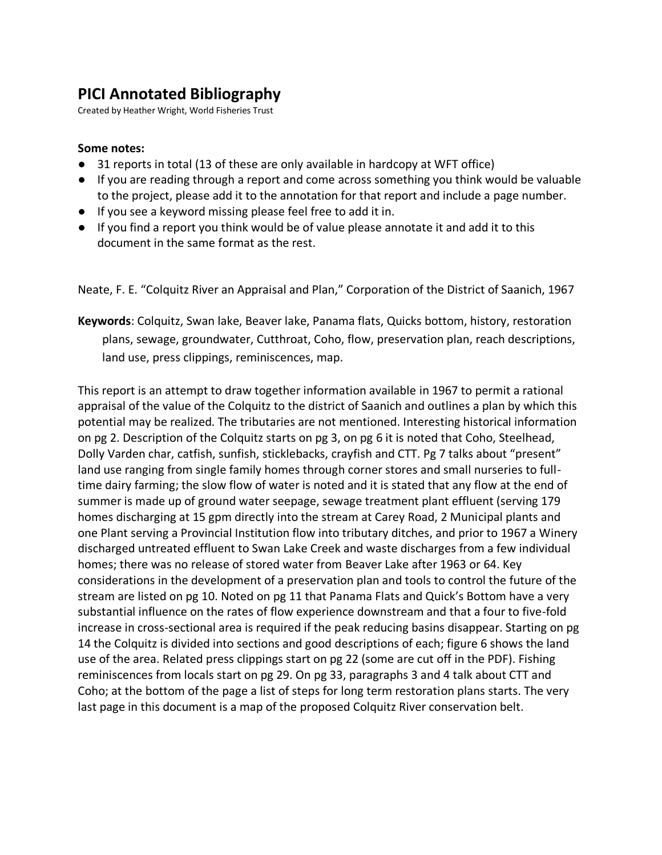## **PICI Annotated Bibliography**

Created by Heather Wright, World Fisheries Trust

## **Some notes:**

- 31 reports in total (13 of these are only available in hardcopy at WFT office)
- If you are reading through a report and come across something you think would be valuable to the project, please add it to the annotation for that report and include a page number.
- If you see a keyword missing please feel free to add it in.
- If you find a report you think would be of value please annotate it and add it to this document in the same format as the rest.

Neate, F. E. "Colquitz River an Appraisal and Plan," Corporation of the District of Saanich, 1967

**Keywords**: Colquitz, Swan lake, Beaver lake, Panama flats, Quicks bottom, history, restoration plans, sewage, groundwater, Cutthroat, Coho, flow, preservation plan, reach descriptions, land use, press clippings, reminiscences, map.

This report is an attempt to draw together information available in 1967 to permit a rational appraisal of the value of the Colquitz to the district of Saanich and outlines a plan by which this potential may be realized. The tributaries are not mentioned. Interesting historical information on pg 2. Description of the Colquitz starts on pg 3, on pg 6 it is noted that Coho, Steelhead, Dolly Varden char, catfish, sunfish, sticklebacks, crayfish and CTT. Pg 7 talks about "present" land use ranging from single family homes through corner stores and small nurseries to fulltime dairy farming; the slow flow of water is noted and it is stated that any flow at the end of summer is made up of ground water seepage, sewage treatment plant effluent (serving 179 homes discharging at 15 gpm directly into the stream at Carey Road, 2 Municipal plants and one Plant serving a Provincial Institution flow into tributary ditches, and prior to 1967 a Winery discharged untreated effluent to Swan Lake Creek and waste discharges from a few individual homes; there was no release of stored water from Beaver Lake after 1963 or 64. Key considerations in the development of a preservation plan and tools to control the future of the stream are listed on pg 10. Noted on pg 11 that Panama Flats and Quick's Bottom have a very substantial influence on the rates of flow experience downstream and that a four to five-fold increase in cross-sectional area is required if the peak reducing basins disappear. Starting on pg 14 the Colquitz is divided into sections and good descriptions of each; figure 6 shows the land use of the area. Related press clippings start on pg 22 (some are cut off in the PDF). Fishing reminiscences from locals start on pg 29. On pg 33, paragraphs 3 and 4 talk about CTT and Coho; at the bottom of the page a list of steps for long term restoration plans starts. The very last page in this document is a map of the proposed Colquitz River conservation belt.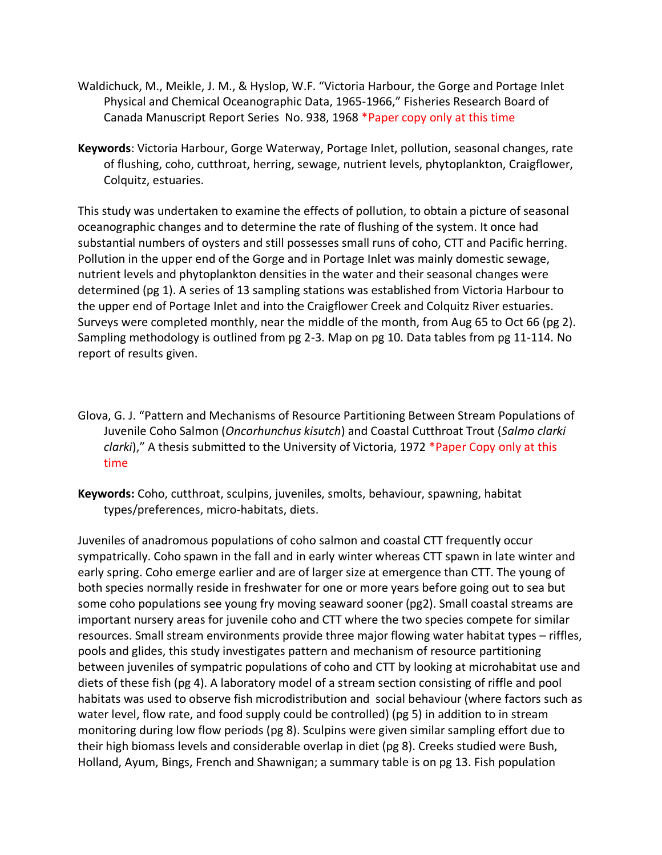- Waldichuck, M., Meikle, J. M., & Hyslop, W.F. "Victoria Harbour, the Gorge and Portage Inlet Physical and Chemical Oceanographic Data, 1965-1966," Fisheries Research Board of Canada Manuscript Report Series No. 938, 1968 \*Paper copy only at this time
- **Keywords**: Victoria Harbour, Gorge Waterway, Portage Inlet, pollution, seasonal changes, rate of flushing, coho, cutthroat, herring, sewage, nutrient levels, phytoplankton, Craigflower, Colquitz, estuaries.

This study was undertaken to examine the effects of pollution, to obtain a picture of seasonal oceanographic changes and to determine the rate of flushing of the system. It once had substantial numbers of oysters and still possesses small runs of coho, CTT and Pacific herring. Pollution in the upper end of the Gorge and in Portage Inlet was mainly domestic sewage, nutrient levels and phytoplankton densities in the water and their seasonal changes were determined (pg 1). A series of 13 sampling stations was established from Victoria Harbour to the upper end of Portage Inlet and into the Craigflower Creek and Colquitz River estuaries. Surveys were completed monthly, near the middle of the month, from Aug 65 to Oct 66 (pg 2). Sampling methodology is outlined from pg 2-3. Map on pg 10. Data tables from pg 11-114. No report of results given.

- Glova, G. J. "Pattern and Mechanisms of Resource Partitioning Between Stream Populations of Juvenile Coho Salmon (*Oncorhunchus kisutch*) and Coastal Cutthroat Trout (*Salmo clarki clarki*)," A thesis submitted to the University of Victoria, 1972 \*Paper Copy only at this time
- **Keywords:** Coho, cutthroat, sculpins, juveniles, smolts, behaviour, spawning, habitat types/preferences, micro-habitats, diets.

Juveniles of anadromous populations of coho salmon and coastal CTT frequently occur sympatrically. Coho spawn in the fall and in early winter whereas CTT spawn in late winter and early spring. Coho emerge earlier and are of larger size at emergence than CTT. The young of both species normally reside in freshwater for one or more years before going out to sea but some coho populations see young fry moving seaward sooner (pg2). Small coastal streams are important nursery areas for juvenile coho and CTT where the two species compete for similar resources. Small stream environments provide three major flowing water habitat types – riffles, pools and glides, this study investigates pattern and mechanism of resource partitioning between juveniles of sympatric populations of coho and CTT by looking at microhabitat use and diets of these fish (pg 4). A laboratory model of a stream section consisting of riffle and pool habitats was used to observe fish microdistribution and social behaviour (where factors such as water level, flow rate, and food supply could be controlled) (pg 5) in addition to in stream monitoring during low flow periods (pg 8). Sculpins were given similar sampling effort due to their high biomass levels and considerable overlap in diet (pg 8). Creeks studied were Bush, Holland, Ayum, Bings, French and Shawnigan; a summary table is on pg 13. Fish population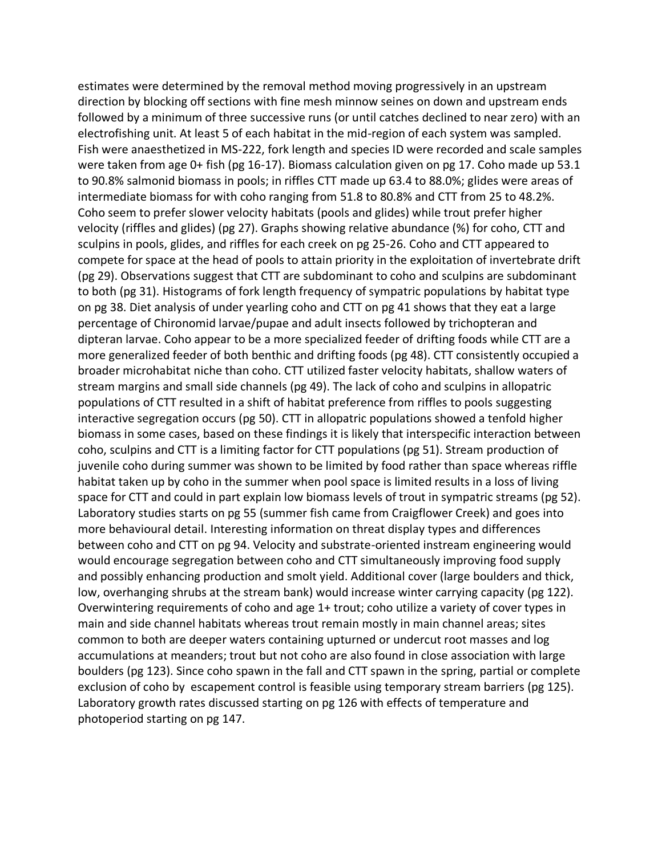estimates were determined by the removal method moving progressively in an upstream direction by blocking off sections with fine mesh minnow seines on down and upstream ends followed by a minimum of three successive runs (or until catches declined to near zero) with an electrofishing unit. At least 5 of each habitat in the mid-region of each system was sampled. Fish were anaesthetized in MS-222, fork length and species ID were recorded and scale samples were taken from age 0+ fish (pg 16-17). Biomass calculation given on pg 17. Coho made up 53.1 to 90.8% salmonid biomass in pools; in riffles CTT made up 63.4 to 88.0%; glides were areas of intermediate biomass for with coho ranging from 51.8 to 80.8% and CTT from 25 to 48.2%. Coho seem to prefer slower velocity habitats (pools and glides) while trout prefer higher velocity (riffles and glides) (pg 27). Graphs showing relative abundance (%) for coho, CTT and sculpins in pools, glides, and riffles for each creek on pg 25-26. Coho and CTT appeared to compete for space at the head of pools to attain priority in the exploitation of invertebrate drift (pg 29). Observations suggest that CTT are subdominant to coho and sculpins are subdominant to both (pg 31). Histograms of fork length frequency of sympatric populations by habitat type on pg 38. Diet analysis of under yearling coho and CTT on pg 41 shows that they eat a large percentage of Chironomid larvae/pupae and adult insects followed by trichopteran and dipteran larvae. Coho appear to be a more specialized feeder of drifting foods while CTT are a more generalized feeder of both benthic and drifting foods (pg 48). CTT consistently occupied a broader microhabitat niche than coho. CTT utilized faster velocity habitats, shallow waters of stream margins and small side channels (pg 49). The lack of coho and sculpins in allopatric populations of CTT resulted in a shift of habitat preference from riffles to pools suggesting interactive segregation occurs (pg 50). CTT in allopatric populations showed a tenfold higher biomass in some cases, based on these findings it is likely that interspecific interaction between coho, sculpins and CTT is a limiting factor for CTT populations (pg 51). Stream production of juvenile coho during summer was shown to be limited by food rather than space whereas riffle habitat taken up by coho in the summer when pool space is limited results in a loss of living space for CTT and could in part explain low biomass levels of trout in sympatric streams (pg 52). Laboratory studies starts on pg 55 (summer fish came from Craigflower Creek) and goes into more behavioural detail. Interesting information on threat display types and differences between coho and CTT on pg 94. Velocity and substrate-oriented instream engineering would would encourage segregation between coho and CTT simultaneously improving food supply and possibly enhancing production and smolt yield. Additional cover (large boulders and thick, low, overhanging shrubs at the stream bank) would increase winter carrying capacity (pg 122). Overwintering requirements of coho and age 1+ trout; coho utilize a variety of cover types in main and side channel habitats whereas trout remain mostly in main channel areas; sites common to both are deeper waters containing upturned or undercut root masses and log accumulations at meanders; trout but not coho are also found in close association with large boulders (pg 123). Since coho spawn in the fall and CTT spawn in the spring, partial or complete exclusion of coho by escapement control is feasible using temporary stream barriers (pg 125). Laboratory growth rates discussed starting on pg 126 with effects of temperature and photoperiod starting on pg 147.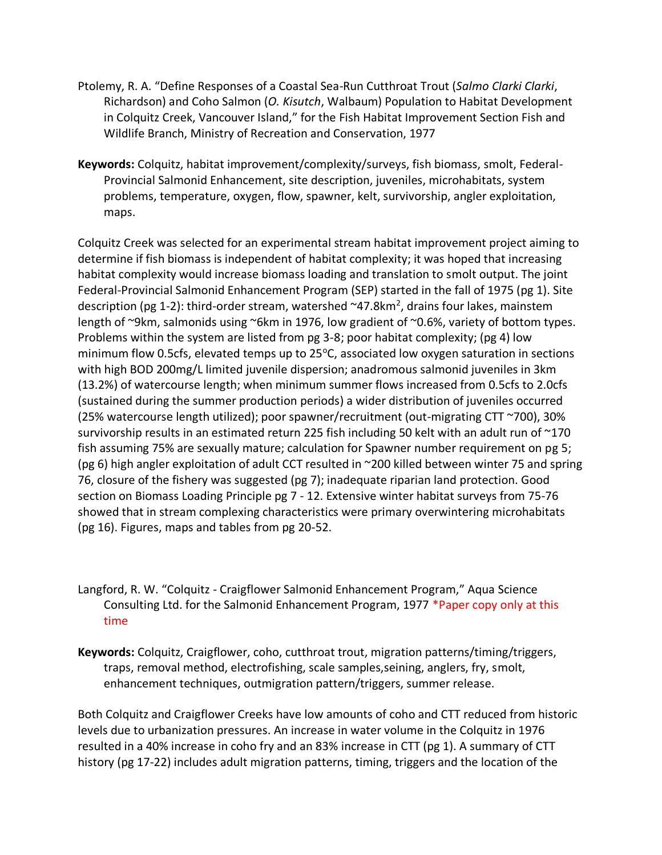- Ptolemy, R. A. "Define Responses of a Coastal Sea-Run Cutthroat Trout (*Salmo Clarki Clarki*, Richardson) and Coho Salmon (*O. Kisutch*, Walbaum) Population to Habitat Development in Colquitz Creek, Vancouver Island," for the Fish Habitat Improvement Section Fish and Wildlife Branch, Ministry of Recreation and Conservation, 1977
- **Keywords:** Colquitz, habitat improvement/complexity/surveys, fish biomass, smolt, Federal-Provincial Salmonid Enhancement, site description, juveniles, microhabitats, system problems, temperature, oxygen, flow, spawner, kelt, survivorship, angler exploitation, maps.

Colquitz Creek was selected for an experimental stream habitat improvement project aiming to determine if fish biomass is independent of habitat complexity; it was hoped that increasing habitat complexity would increase biomass loading and translation to smolt output. The joint Federal-Provincial Salmonid Enhancement Program (SEP) started in the fall of 1975 (pg 1). Site description (pg 1-2): third-order stream, watershed  $\sim$ 47.8km<sup>2</sup>, drains four lakes, mainstem length of ~9km, salmonids using ~6km in 1976, low gradient of ~0.6%, variety of bottom types. Problems within the system are listed from pg 3-8; poor habitat complexity; (pg 4) low minimum flow 0.5cfs, elevated temps up to  $25^{\circ}$ C, associated low oxygen saturation in sections with high BOD 200mg/L limited juvenile dispersion; anadromous salmonid juveniles in 3km (13.2%) of watercourse length; when minimum summer flows increased from 0.5cfs to 2.0cfs (sustained during the summer production periods) a wider distribution of juveniles occurred (25% watercourse length utilized); poor spawner/recruitment (out-migrating CTT ~700), 30% survivorship results in an estimated return 225 fish including 50 kelt with an adult run of  $\sim$ 170 fish assuming 75% are sexually mature; calculation for Spawner number requirement on pg 5; (pg 6) high angler exploitation of adult CCT resulted in ~200 killed between winter 75 and spring 76, closure of the fishery was suggested (pg 7); inadequate riparian land protection. Good section on Biomass Loading Principle pg 7 - 12. Extensive winter habitat surveys from 75-76 showed that in stream complexing characteristics were primary overwintering microhabitats (pg 16). Figures, maps and tables from pg 20-52.

- Langford, R. W. "Colquitz Craigflower Salmonid Enhancement Program," Aqua Science Consulting Ltd. for the Salmonid Enhancement Program, 1977 \*Paper copy only at this time
- **Keywords:** Colquitz, Craigflower, coho, cutthroat trout, migration patterns/timing/triggers, traps, removal method, electrofishing, scale samples,seining, anglers, fry, smolt, enhancement techniques, outmigration pattern/triggers, summer release.

Both Colquitz and Craigflower Creeks have low amounts of coho and CTT reduced from historic levels due to urbanization pressures. An increase in water volume in the Colquitz in 1976 resulted in a 40% increase in coho fry and an 83% increase in CTT (pg 1). A summary of CTT history (pg 17-22) includes adult migration patterns, timing, triggers and the location of the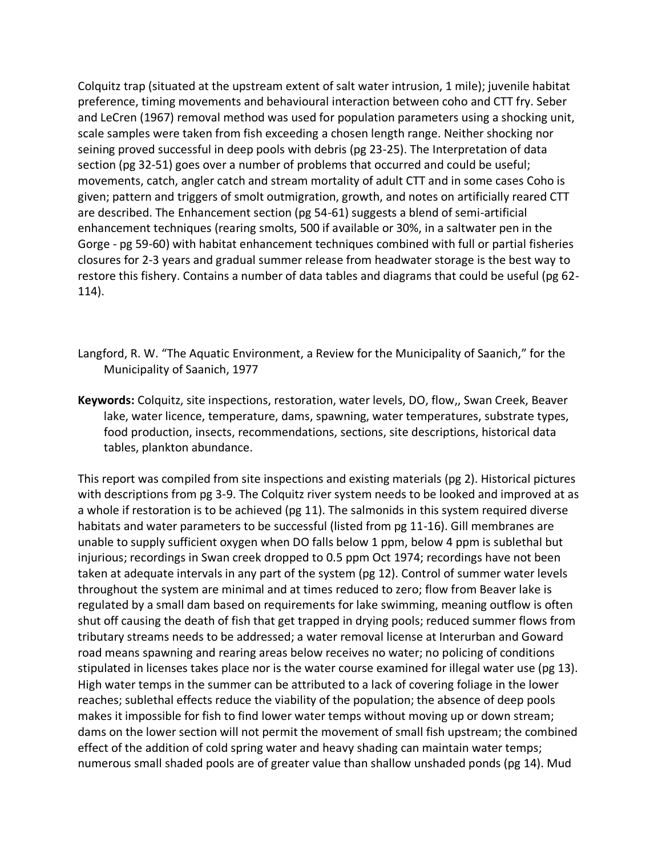Colquitz trap (situated at the upstream extent of salt water intrusion, 1 mile); juvenile habitat preference, timing movements and behavioural interaction between coho and CTT fry. Seber and LeCren (1967) removal method was used for population parameters using a shocking unit, scale samples were taken from fish exceeding a chosen length range. Neither shocking nor seining proved successful in deep pools with debris (pg 23-25). The Interpretation of data section (pg 32-51) goes over a number of problems that occurred and could be useful; movements, catch, angler catch and stream mortality of adult CTT and in some cases Coho is given; pattern and triggers of smolt outmigration, growth, and notes on artificially reared CTT are described. The Enhancement section (pg 54-61) suggests a blend of semi-artificial enhancement techniques (rearing smolts, 500 if available or 30%, in a saltwater pen in the Gorge - pg 59-60) with habitat enhancement techniques combined with full or partial fisheries closures for 2-3 years and gradual summer release from headwater storage is the best way to restore this fishery. Contains a number of data tables and diagrams that could be useful (pg 62- 114).

- Langford, R. W. "The Aquatic Environment, a Review for the Municipality of Saanich," for the Municipality of Saanich, 1977
- **Keywords:** Colquitz, site inspections, restoration, water levels, DO, flow,, Swan Creek, Beaver lake, water licence, temperature, dams, spawning, water temperatures, substrate types, food production, insects, recommendations, sections, site descriptions, historical data tables, plankton abundance.

This report was compiled from site inspections and existing materials (pg 2). Historical pictures with descriptions from pg 3-9. The Colquitz river system needs to be looked and improved at as a whole if restoration is to be achieved (pg 11). The salmonids in this system required diverse habitats and water parameters to be successful (listed from pg 11-16). Gill membranes are unable to supply sufficient oxygen when DO falls below 1 ppm, below 4 ppm is sublethal but injurious; recordings in Swan creek dropped to 0.5 ppm Oct 1974; recordings have not been taken at adequate intervals in any part of the system (pg 12). Control of summer water levels throughout the system are minimal and at times reduced to zero; flow from Beaver lake is regulated by a small dam based on requirements for lake swimming, meaning outflow is often shut off causing the death of fish that get trapped in drying pools; reduced summer flows from tributary streams needs to be addressed; a water removal license at Interurban and Goward road means spawning and rearing areas below receives no water; no policing of conditions stipulated in licenses takes place nor is the water course examined for illegal water use (pg 13). High water temps in the summer can be attributed to a lack of covering foliage in the lower reaches; sublethal effects reduce the viability of the population; the absence of deep pools makes it impossible for fish to find lower water temps without moving up or down stream; dams on the lower section will not permit the movement of small fish upstream; the combined effect of the addition of cold spring water and heavy shading can maintain water temps; numerous small shaded pools are of greater value than shallow unshaded ponds (pg 14). Mud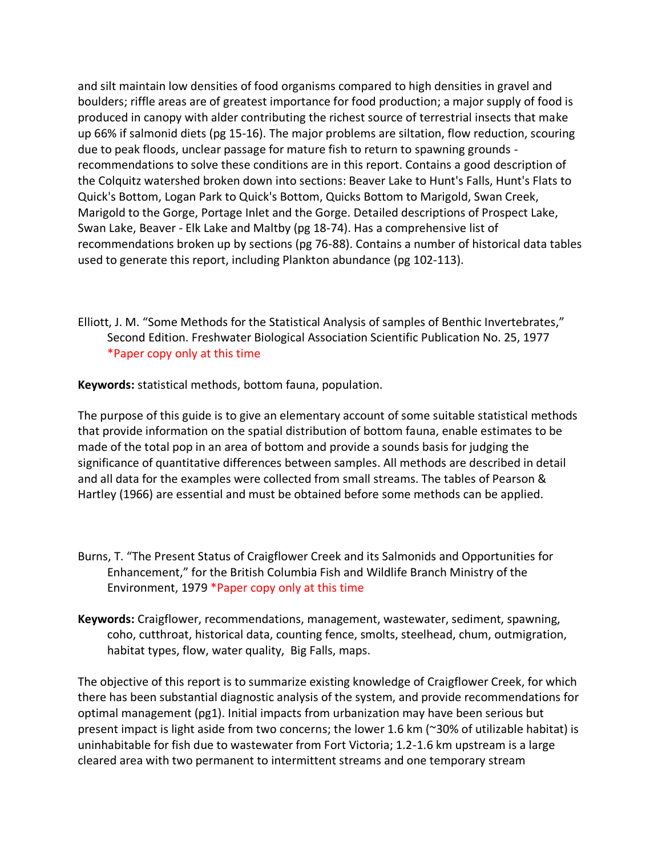and silt maintain low densities of food organisms compared to high densities in gravel and boulders; riffle areas are of greatest importance for food production; a major supply of food is produced in canopy with alder contributing the richest source of terrestrial insects that make up 66% if salmonid diets (pg 15-16). The major problems are siltation, flow reduction, scouring due to peak floods, unclear passage for mature fish to return to spawning grounds recommendations to solve these conditions are in this report. Contains a good description of the Colquitz watershed broken down into sections: Beaver Lake to Hunt's Falls, Hunt's Flats to Quick's Bottom, Logan Park to Quick's Bottom, Quicks Bottom to Marigold, Swan Creek, Marigold to the Gorge, Portage Inlet and the Gorge. Detailed descriptions of Prospect Lake, Swan Lake, Beaver - Elk Lake and Maltby (pg 18-74). Has a comprehensive list of recommendations broken up by sections (pg 76-88). Contains a number of historical data tables used to generate this report, including Plankton abundance (pg 102-113).

Elliott, J. M. "Some Methods for the Statistical Analysis of samples of Benthic Invertebrates," Second Edition. Freshwater Biological Association Scientific Publication No. 25, 1977 \*Paper copy only at this time

**Keywords:** statistical methods, bottom fauna, population.

The purpose of this guide is to give an elementary account of some suitable statistical methods that provide information on the spatial distribution of bottom fauna, enable estimates to be made of the total pop in an area of bottom and provide a sounds basis for judging the significance of quantitative differences between samples. All methods are described in detail and all data for the examples were collected from small streams. The tables of Pearson & Hartley (1966) are essential and must be obtained before some methods can be applied.

- Burns, T. "The Present Status of Craigflower Creek and its Salmonids and Opportunities for Enhancement," for the British Columbia Fish and Wildlife Branch Ministry of the Environment, 1979 \*Paper copy only at this time
- **Keywords:** Craigflower, recommendations, management, wastewater, sediment, spawning, coho, cutthroat, historical data, counting fence, smolts, steelhead, chum, outmigration, habitat types, flow, water quality, Big Falls, maps.

The objective of this report is to summarize existing knowledge of Craigflower Creek, for which there has been substantial diagnostic analysis of the system, and provide recommendations for optimal management (pg1). Initial impacts from urbanization may have been serious but present impact is light aside from two concerns; the lower 1.6 km (~30% of utilizable habitat) is uninhabitable for fish due to wastewater from Fort Victoria; 1.2-1.6 km upstream is a large cleared area with two permanent to intermittent streams and one temporary stream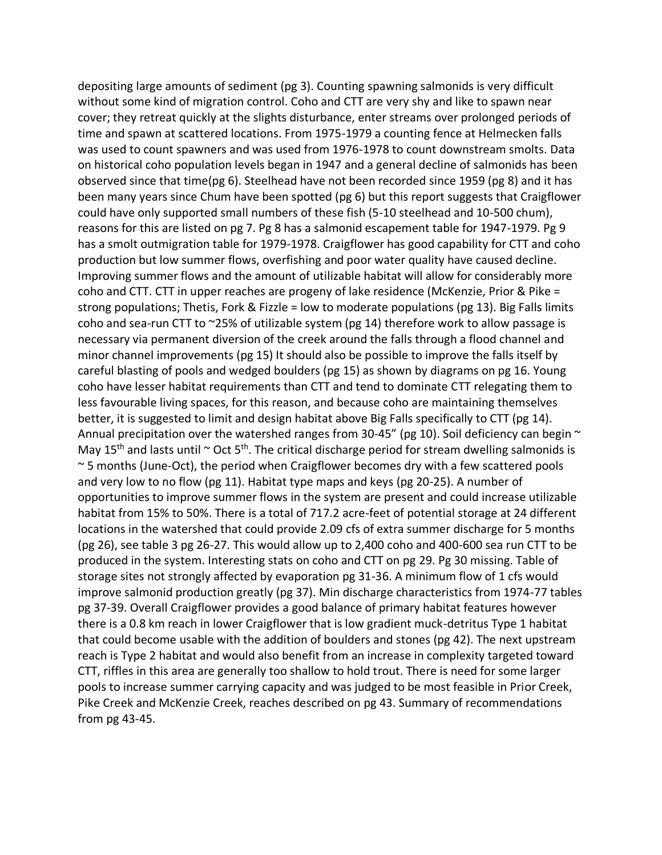depositing large amounts of sediment (pg 3). Counting spawning salmonids is very difficult without some kind of migration control. Coho and CTT are very shy and like to spawn near cover; they retreat quickly at the slights disturbance, enter streams over prolonged periods of time and spawn at scattered locations. From 1975-1979 a counting fence at Helmecken falls was used to count spawners and was used from 1976-1978 to count downstream smolts. Data on historical coho population levels began in 1947 and a general decline of salmonids has been observed since that time(pg 6). Steelhead have not been recorded since 1959 (pg 8) and it has been many years since Chum have been spotted (pg 6) but this report suggests that Craigflower could have only supported small numbers of these fish (5-10 steelhead and 10-500 chum), reasons for this are listed on pg 7. Pg 8 has a salmonid escapement table for 1947-1979. Pg 9 has a smolt outmigration table for 1979-1978. Craigflower has good capability for CTT and coho production but low summer flows, overfishing and poor water quality have caused decline. Improving summer flows and the amount of utilizable habitat will allow for considerably more coho and CTT. CTT in upper reaches are progeny of lake residence (McKenzie, Prior & Pike = strong populations; Thetis, Fork & Fizzle = low to moderate populations (pg 13). Big Falls limits coho and sea-run CTT to ~25% of utilizable system (pg 14) therefore work to allow passage is necessary via permanent diversion of the creek around the falls through a flood channel and minor channel improvements (pg 15) It should also be possible to improve the falls itself by careful blasting of pools and wedged boulders (pg 15) as shown by diagrams on pg 16. Young coho have lesser habitat requirements than CTT and tend to dominate CTT relegating them to less favourable living spaces, for this reason, and because coho are maintaining themselves better, it is suggested to limit and design habitat above Big Falls specifically to CTT (pg 14). Annual precipitation over the watershed ranges from 30-45" (pg 10). Soil deficiency can begin  $\sim$ May 15<sup>th</sup> and lasts until  $\sim$  Oct 5<sup>th</sup>. The critical discharge period for stream dwelling salmonids is ~ 5 months (June-Oct), the period when Craigflower becomes dry with a few scattered pools and very low to no flow (pg 11). Habitat type maps and keys (pg 20-25). A number of opportunities to improve summer flows in the system are present and could increase utilizable habitat from 15% to 50%. There is a total of 717.2 acre-feet of potential storage at 24 different locations in the watershed that could provide 2.09 cfs of extra summer discharge for 5 months (pg 26), see table 3 pg 26-27. This would allow up to 2,400 coho and 400-600 sea run CTT to be produced in the system. Interesting stats on coho and CTT on pg 29. Pg 30 missing. Table of storage sites not strongly affected by evaporation pg 31-36. A minimum flow of 1 cfs would improve salmonid production greatly (pg 37). Min discharge characteristics from 1974-77 tables pg 37-39. Overall Craigflower provides a good balance of primary habitat features however there is a 0.8 km reach in lower Craigflower that is low gradient muck-detritus Type 1 habitat that could become usable with the addition of boulders and stones (pg 42). The next upstream reach is Type 2 habitat and would also benefit from an increase in complexity targeted toward CTT, riffles in this area are generally too shallow to hold trout. There is need for some larger pools to increase summer carrying capacity and was judged to be most feasible in Prior Creek, Pike Creek and McKenzie Creek, reaches described on pg 43. Summary of recommendations from pg 43-45.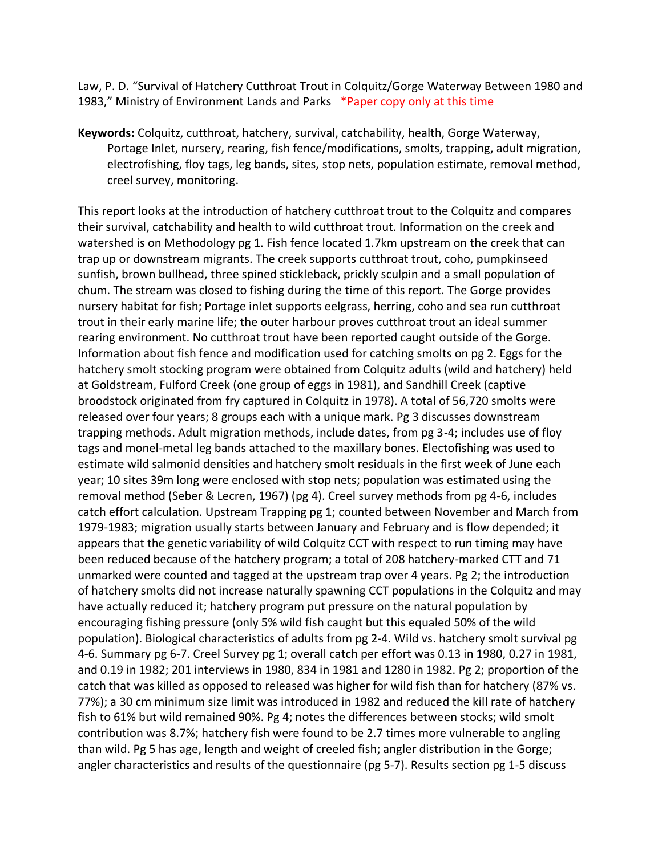Law, P. D. "Survival of Hatchery Cutthroat Trout in Colquitz/Gorge Waterway Between 1980 and 1983," Ministry of Environment Lands and Parks \*Paper copy only at this time

**Keywords:** Colquitz, cutthroat, hatchery, survival, catchability, health, Gorge Waterway, Portage Inlet, nursery, rearing, fish fence/modifications, smolts, trapping, adult migration, electrofishing, floy tags, leg bands, sites, stop nets, population estimate, removal method, creel survey, monitoring.

This report looks at the introduction of hatchery cutthroat trout to the Colquitz and compares their survival, catchability and health to wild cutthroat trout. Information on the creek and watershed is on Methodology pg 1. Fish fence located 1.7km upstream on the creek that can trap up or downstream migrants. The creek supports cutthroat trout, coho, pumpkinseed sunfish, brown bullhead, three spined stickleback, prickly sculpin and a small population of chum. The stream was closed to fishing during the time of this report. The Gorge provides nursery habitat for fish; Portage inlet supports eelgrass, herring, coho and sea run cutthroat trout in their early marine life; the outer harbour proves cutthroat trout an ideal summer rearing environment. No cutthroat trout have been reported caught outside of the Gorge. Information about fish fence and modification used for catching smolts on pg 2. Eggs for the hatchery smolt stocking program were obtained from Colquitz adults (wild and hatchery) held at Goldstream, Fulford Creek (one group of eggs in 1981), and Sandhill Creek (captive broodstock originated from fry captured in Colquitz in 1978). A total of 56,720 smolts were released over four years; 8 groups each with a unique mark. Pg 3 discusses downstream trapping methods. Adult migration methods, include dates, from pg 3-4; includes use of floy tags and monel-metal leg bands attached to the maxillary bones. Electofishing was used to estimate wild salmonid densities and hatchery smolt residuals in the first week of June each year; 10 sites 39m long were enclosed with stop nets; population was estimated using the removal method (Seber & Lecren, 1967) (pg 4). Creel survey methods from pg 4-6, includes catch effort calculation. Upstream Trapping pg 1; counted between November and March from 1979-1983; migration usually starts between January and February and is flow depended; it appears that the genetic variability of wild Colquitz CCT with respect to run timing may have been reduced because of the hatchery program; a total of 208 hatchery-marked CTT and 71 unmarked were counted and tagged at the upstream trap over 4 years. Pg 2; the introduction of hatchery smolts did not increase naturally spawning CCT populations in the Colquitz and may have actually reduced it; hatchery program put pressure on the natural population by encouraging fishing pressure (only 5% wild fish caught but this equaled 50% of the wild population). Biological characteristics of adults from pg 2-4. Wild vs. hatchery smolt survival pg 4-6. Summary pg 6-7. Creel Survey pg 1; overall catch per effort was 0.13 in 1980, 0.27 in 1981, and 0.19 in 1982; 201 interviews in 1980, 834 in 1981 and 1280 in 1982. Pg 2; proportion of the catch that was killed as opposed to released was higher for wild fish than for hatchery (87% vs. 77%); a 30 cm minimum size limit was introduced in 1982 and reduced the kill rate of hatchery fish to 61% but wild remained 90%. Pg 4; notes the differences between stocks; wild smolt contribution was 8.7%; hatchery fish were found to be 2.7 times more vulnerable to angling than wild. Pg 5 has age, length and weight of creeled fish; angler distribution in the Gorge; angler characteristics and results of the questionnaire (pg 5-7). Results section pg 1-5 discuss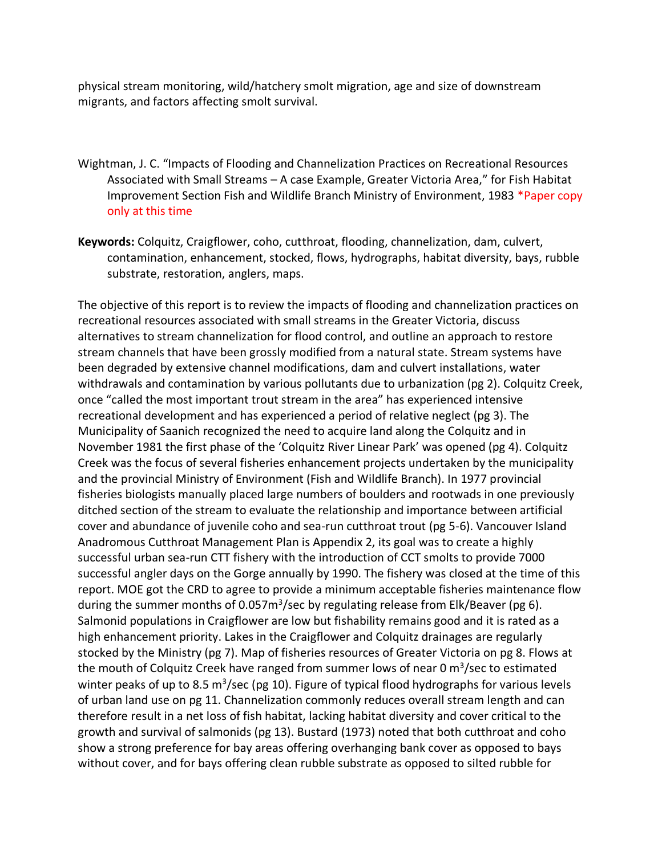physical stream monitoring, wild/hatchery smolt migration, age and size of downstream migrants, and factors affecting smolt survival.

- Wightman, J. C. "Impacts of Flooding and Channelization Practices on Recreational Resources Associated with Small Streams – A case Example, Greater Victoria Area," for Fish Habitat Improvement Section Fish and Wildlife Branch Ministry of Environment, 1983 \*Paper copy only at this time
- **Keywords:** Colquitz, Craigflower, coho, cutthroat, flooding, channelization, dam, culvert, contamination, enhancement, stocked, flows, hydrographs, habitat diversity, bays, rubble substrate, restoration, anglers, maps.

The objective of this report is to review the impacts of flooding and channelization practices on recreational resources associated with small streams in the Greater Victoria, discuss alternatives to stream channelization for flood control, and outline an approach to restore stream channels that have been grossly modified from a natural state. Stream systems have been degraded by extensive channel modifications, dam and culvert installations, water withdrawals and contamination by various pollutants due to urbanization (pg 2). Colquitz Creek, once "called the most important trout stream in the area" has experienced intensive recreational development and has experienced a period of relative neglect (pg 3). The Municipality of Saanich recognized the need to acquire land along the Colquitz and in November 1981 the first phase of the 'Colquitz River Linear Park' was opened (pg 4). Colquitz Creek was the focus of several fisheries enhancement projects undertaken by the municipality and the provincial Ministry of Environment (Fish and Wildlife Branch). In 1977 provincial fisheries biologists manually placed large numbers of boulders and rootwads in one previously ditched section of the stream to evaluate the relationship and importance between artificial cover and abundance of juvenile coho and sea-run cutthroat trout (pg 5-6). Vancouver Island Anadromous Cutthroat Management Plan is Appendix 2, its goal was to create a highly successful urban sea-run CTT fishery with the introduction of CCT smolts to provide 7000 successful angler days on the Gorge annually by 1990. The fishery was closed at the time of this report. MOE got the CRD to agree to provide a minimum acceptable fisheries maintenance flow during the summer months of 0.057m<sup>3</sup>/sec by regulating release from Elk/Beaver (pg 6). Salmonid populations in Craigflower are low but fishability remains good and it is rated as a high enhancement priority. Lakes in the Craigflower and Colquitz drainages are regularly stocked by the Ministry (pg 7). Map of fisheries resources of Greater Victoria on pg 8. Flows at the mouth of Colquitz Creek have ranged from summer lows of near 0 m<sup>3</sup>/sec to estimated winter peaks of up to 8.5 m<sup>3</sup>/sec (pg 10). Figure of typical flood hydrographs for various levels of urban land use on pg 11. Channelization commonly reduces overall stream length and can therefore result in a net loss of fish habitat, lacking habitat diversity and cover critical to the growth and survival of salmonids (pg 13). Bustard (1973) noted that both cutthroat and coho show a strong preference for bay areas offering overhanging bank cover as opposed to bays without cover, and for bays offering clean rubble substrate as opposed to silted rubble for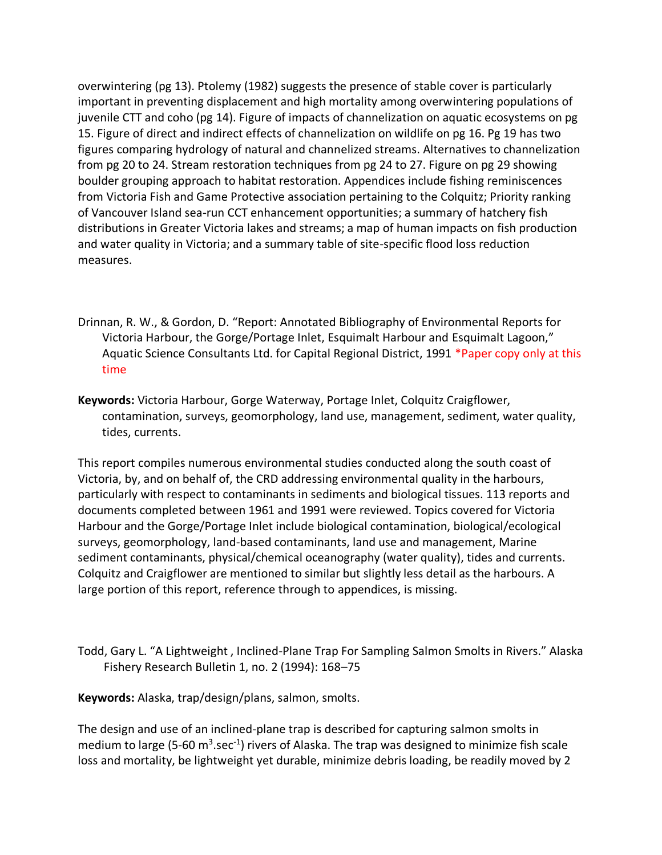overwintering (pg 13). Ptolemy (1982) suggests the presence of stable cover is particularly important in preventing displacement and high mortality among overwintering populations of juvenile CTT and coho (pg 14). Figure of impacts of channelization on aquatic ecosystems on pg 15. Figure of direct and indirect effects of channelization on wildlife on pg 16. Pg 19 has two figures comparing hydrology of natural and channelized streams. Alternatives to channelization from pg 20 to 24. Stream restoration techniques from pg 24 to 27. Figure on pg 29 showing boulder grouping approach to habitat restoration. Appendices include fishing reminiscences from Victoria Fish and Game Protective association pertaining to the Colquitz; Priority ranking of Vancouver Island sea-run CCT enhancement opportunities; a summary of hatchery fish distributions in Greater Victoria lakes and streams; a map of human impacts on fish production and water quality in Victoria; and a summary table of site-specific flood loss reduction measures.

- Drinnan, R. W., & Gordon, D. "Report: Annotated Bibliography of Environmental Reports for Victoria Harbour, the Gorge/Portage Inlet, Esquimalt Harbour and Esquimalt Lagoon," Aquatic Science Consultants Ltd. for Capital Regional District, 1991 \*Paper copy only at this time
- **Keywords:** Victoria Harbour, Gorge Waterway, Portage Inlet, Colquitz Craigflower, contamination, surveys, geomorphology, land use, management, sediment, water quality, tides, currents.

This report compiles numerous environmental studies conducted along the south coast of Victoria, by, and on behalf of, the CRD addressing environmental quality in the harbours, particularly with respect to contaminants in sediments and biological tissues. 113 reports and documents completed between 1961 and 1991 were reviewed. Topics covered for Victoria Harbour and the Gorge/Portage Inlet include biological contamination, biological/ecological surveys, geomorphology, land-based contaminants, land use and management, Marine sediment contaminants, physical/chemical oceanography (water quality), tides and currents. Colquitz and Craigflower are mentioned to similar but slightly less detail as the harbours. A large portion of this report, reference through to appendices, is missing.

Todd, Gary L. "A Lightweight , Inclined-Plane Trap For Sampling Salmon Smolts in Rivers." Alaska Fishery Research Bulletin 1, no. 2 (1994): 168–75

**Keywords:** Alaska, trap/design/plans, salmon, smolts.

The design and use of an inclined-plane trap is described for capturing salmon smolts in medium to large (5-60  $m^3$ .sec<sup>-1</sup>) rivers of Alaska. The trap was designed to minimize fish scale loss and mortality, be lightweight yet durable, minimize debris loading, be readily moved by 2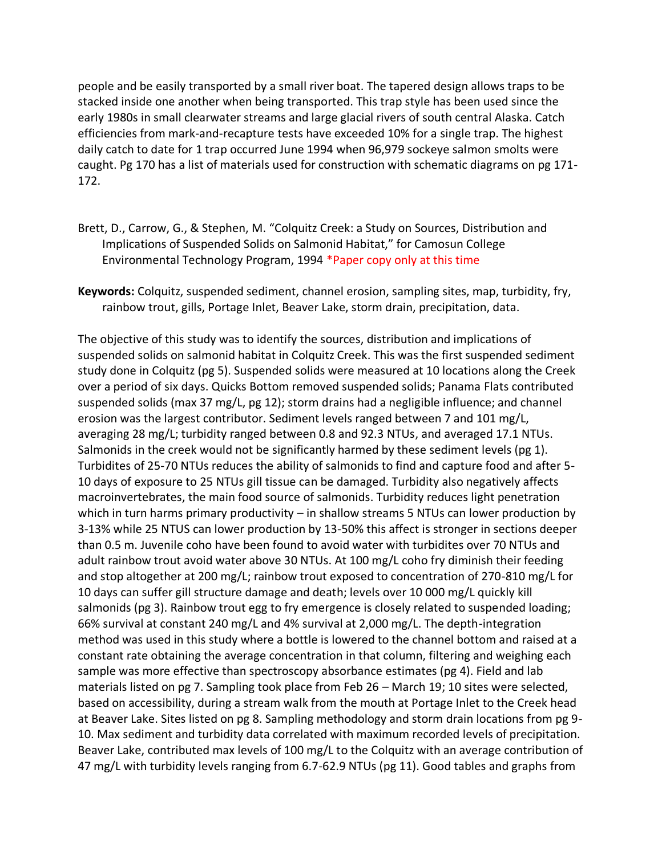people and be easily transported by a small river boat. The tapered design allows traps to be stacked inside one another when being transported. This trap style has been used since the early 1980s in small clearwater streams and large glacial rivers of south central Alaska. Catch efficiencies from mark-and-recapture tests have exceeded 10% for a single trap. The highest daily catch to date for 1 trap occurred June 1994 when 96,979 sockeye salmon smolts were caught. Pg 170 has a list of materials used for construction with schematic diagrams on pg 171- 172.

- Brett, D., Carrow, G., & Stephen, M. "Colquitz Creek: a Study on Sources, Distribution and Implications of Suspended Solids on Salmonid Habitat," for Camosun College Environmental Technology Program, 1994 \*Paper copy only at this time
- **Keywords:** Colquitz, suspended sediment, channel erosion, sampling sites, map, turbidity, fry, rainbow trout, gills, Portage Inlet, Beaver Lake, storm drain, precipitation, data.

The objective of this study was to identify the sources, distribution and implications of suspended solids on salmonid habitat in Colquitz Creek. This was the first suspended sediment study done in Colquitz (pg 5). Suspended solids were measured at 10 locations along the Creek over a period of six days. Quicks Bottom removed suspended solids; Panama Flats contributed suspended solids (max 37 mg/L, pg 12); storm drains had a negligible influence; and channel erosion was the largest contributor. Sediment levels ranged between 7 and 101 mg/L, averaging 28 mg/L; turbidity ranged between 0.8 and 92.3 NTUs, and averaged 17.1 NTUs. Salmonids in the creek would not be significantly harmed by these sediment levels (pg 1). Turbidites of 25-70 NTUs reduces the ability of salmonids to find and capture food and after 5- 10 days of exposure to 25 NTUs gill tissue can be damaged. Turbidity also negatively affects macroinvertebrates, the main food source of salmonids. Turbidity reduces light penetration which in turn harms primary productivity – in shallow streams 5 NTUs can lower production by 3-13% while 25 NTUS can lower production by 13-50% this affect is stronger in sections deeper than 0.5 m. Juvenile coho have been found to avoid water with turbidites over 70 NTUs and adult rainbow trout avoid water above 30 NTUs. At 100 mg/L coho fry diminish their feeding and stop altogether at 200 mg/L; rainbow trout exposed to concentration of 270-810 mg/L for 10 days can suffer gill structure damage and death; levels over 10 000 mg/L quickly kill salmonids (pg 3). Rainbow trout egg to fry emergence is closely related to suspended loading; 66% survival at constant 240 mg/L and 4% survival at 2,000 mg/L. The depth-integration method was used in this study where a bottle is lowered to the channel bottom and raised at a constant rate obtaining the average concentration in that column, filtering and weighing each sample was more effective than spectroscopy absorbance estimates (pg 4). Field and lab materials listed on pg 7. Sampling took place from Feb 26 – March 19; 10 sites were selected, based on accessibility, during a stream walk from the mouth at Portage Inlet to the Creek head at Beaver Lake. Sites listed on pg 8. Sampling methodology and storm drain locations from pg 9- 10. Max sediment and turbidity data correlated with maximum recorded levels of precipitation. Beaver Lake, contributed max levels of 100 mg/L to the Colquitz with an average contribution of 47 mg/L with turbidity levels ranging from 6.7-62.9 NTUs (pg 11). Good tables and graphs from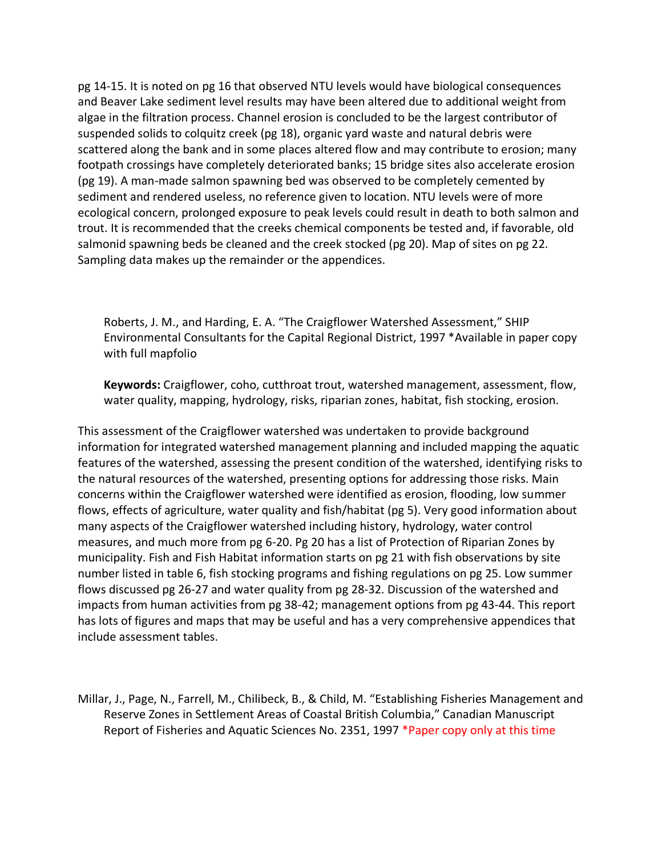pg 14-15. It is noted on pg 16 that observed NTU levels would have biological consequences and Beaver Lake sediment level results may have been altered due to additional weight from algae in the filtration process. Channel erosion is concluded to be the largest contributor of suspended solids to colquitz creek (pg 18), organic yard waste and natural debris were scattered along the bank and in some places altered flow and may contribute to erosion; many footpath crossings have completely deteriorated banks; 15 bridge sites also accelerate erosion (pg 19). A man-made salmon spawning bed was observed to be completely cemented by sediment and rendered useless, no reference given to location. NTU levels were of more ecological concern, prolonged exposure to peak levels could result in death to both salmon and trout. It is recommended that the creeks chemical components be tested and, if favorable, old salmonid spawning beds be cleaned and the creek stocked (pg 20). Map of sites on pg 22. Sampling data makes up the remainder or the appendices.

Roberts, J. M., and Harding, E. A. "The Craigflower Watershed Assessment," SHIP Environmental Consultants for the Capital Regional District, 1997 \*Available in paper copy with full mapfolio

**Keywords:** Craigflower, coho, cutthroat trout, watershed management, assessment, flow, water quality, mapping, hydrology, risks, riparian zones, habitat, fish stocking, erosion.

This assessment of the Craigflower watershed was undertaken to provide background information for integrated watershed management planning and included mapping the aquatic features of the watershed, assessing the present condition of the watershed, identifying risks to the natural resources of the watershed, presenting options for addressing those risks. Main concerns within the Craigflower watershed were identified as erosion, flooding, low summer flows, effects of agriculture, water quality and fish/habitat (pg 5). Very good information about many aspects of the Craigflower watershed including history, hydrology, water control measures, and much more from pg 6-20. Pg 20 has a list of Protection of Riparian Zones by municipality. Fish and Fish Habitat information starts on pg 21 with fish observations by site number listed in table 6, fish stocking programs and fishing regulations on pg 25. Low summer flows discussed pg 26-27 and water quality from pg 28-32. Discussion of the watershed and impacts from human activities from pg 38-42; management options from pg 43-44. This report has lots of figures and maps that may be useful and has a very comprehensive appendices that include assessment tables.

Millar, J., Page, N., Farrell, M., Chilibeck, B., & Child, M. "Establishing Fisheries Management and Reserve Zones in Settlement Areas of Coastal British Columbia," Canadian Manuscript Report of Fisheries and Aquatic Sciences No. 2351, 1997 \*Paper copy only at this time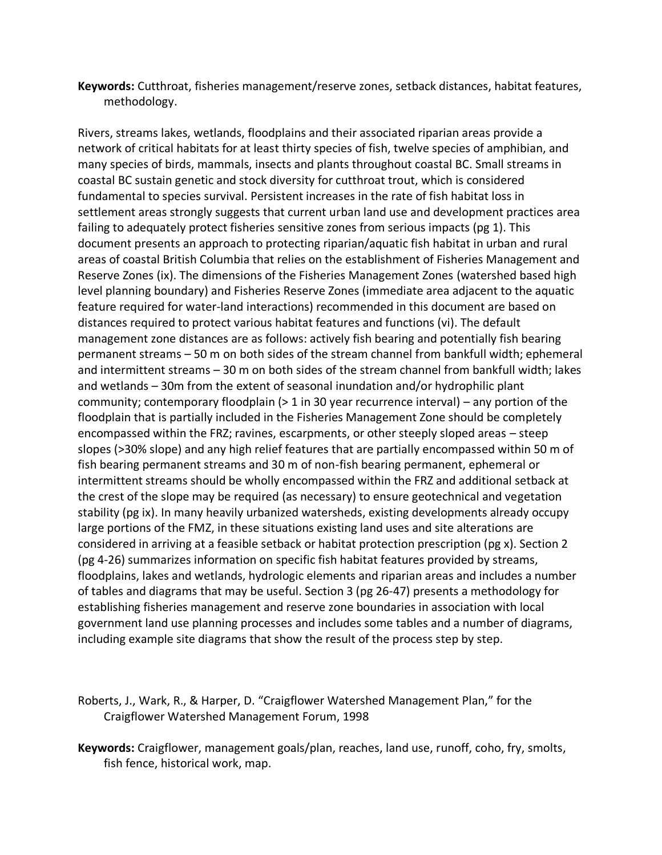**Keywords:** Cutthroat, fisheries management/reserve zones, setback distances, habitat features, methodology.

Rivers, streams lakes, wetlands, floodplains and their associated riparian areas provide a network of critical habitats for at least thirty species of fish, twelve species of amphibian, and many species of birds, mammals, insects and plants throughout coastal BC. Small streams in coastal BC sustain genetic and stock diversity for cutthroat trout, which is considered fundamental to species survival. Persistent increases in the rate of fish habitat loss in settlement areas strongly suggests that current urban land use and development practices area failing to adequately protect fisheries sensitive zones from serious impacts (pg 1). This document presents an approach to protecting riparian/aquatic fish habitat in urban and rural areas of coastal British Columbia that relies on the establishment of Fisheries Management and Reserve Zones (ix). The dimensions of the Fisheries Management Zones (watershed based high level planning boundary) and Fisheries Reserve Zones (immediate area adjacent to the aquatic feature required for water-land interactions) recommended in this document are based on distances required to protect various habitat features and functions (vi). The default management zone distances are as follows: actively fish bearing and potentially fish bearing permanent streams – 50 m on both sides of the stream channel from bankfull width; ephemeral and intermittent streams – 30 m on both sides of the stream channel from bankfull width; lakes and wetlands – 30m from the extent of seasonal inundation and/or hydrophilic plant community; contemporary floodplain (> 1 in 30 year recurrence interval) – any portion of the floodplain that is partially included in the Fisheries Management Zone should be completely encompassed within the FRZ; ravines, escarpments, or other steeply sloped areas – steep slopes (>30% slope) and any high relief features that are partially encompassed within 50 m of fish bearing permanent streams and 30 m of non-fish bearing permanent, ephemeral or intermittent streams should be wholly encompassed within the FRZ and additional setback at the crest of the slope may be required (as necessary) to ensure geotechnical and vegetation stability (pg ix). In many heavily urbanized watersheds, existing developments already occupy large portions of the FMZ, in these situations existing land uses and site alterations are considered in arriving at a feasible setback or habitat protection prescription (pg x). Section 2 (pg 4-26) summarizes information on specific fish habitat features provided by streams, floodplains, lakes and wetlands, hydrologic elements and riparian areas and includes a number of tables and diagrams that may be useful. Section 3 (pg 26-47) presents a methodology for establishing fisheries management and reserve zone boundaries in association with local government land use planning processes and includes some tables and a number of diagrams, including example site diagrams that show the result of the process step by step.

Roberts, J., Wark, R., & Harper, D. "Craigflower Watershed Management Plan," for the Craigflower Watershed Management Forum, 1998

**Keywords:** Craigflower, management goals/plan, reaches, land use, runoff, coho, fry, smolts, fish fence, historical work, map.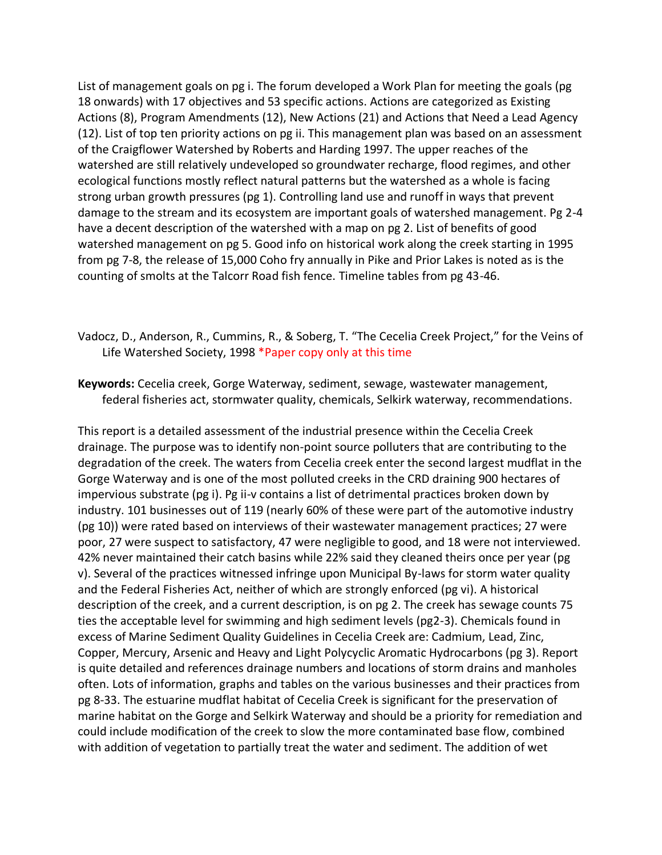List of management goals on pg i. The forum developed a Work Plan for meeting the goals (pg 18 onwards) with 17 objectives and 53 specific actions. Actions are categorized as Existing Actions (8), Program Amendments (12), New Actions (21) and Actions that Need a Lead Agency (12). List of top ten priority actions on pg ii. This management plan was based on an assessment of the Craigflower Watershed by Roberts and Harding 1997. The upper reaches of the watershed are still relatively undeveloped so groundwater recharge, flood regimes, and other ecological functions mostly reflect natural patterns but the watershed as a whole is facing strong urban growth pressures (pg 1). Controlling land use and runoff in ways that prevent damage to the stream and its ecosystem are important goals of watershed management. Pg 2-4 have a decent description of the watershed with a map on pg 2. List of benefits of good watershed management on pg 5. Good info on historical work along the creek starting in 1995 from pg 7-8, the release of 15,000 Coho fry annually in Pike and Prior Lakes is noted as is the counting of smolts at the Talcorr Road fish fence. Timeline tables from pg 43-46.

- Vadocz, D., Anderson, R., Cummins, R., & Soberg, T. "The Cecelia Creek Project," for the Veins of Life Watershed Society, 1998 \*Paper copy only at this time
- **Keywords:** Cecelia creek, Gorge Waterway, sediment, sewage, wastewater management, federal fisheries act, stormwater quality, chemicals, Selkirk waterway, recommendations.

This report is a detailed assessment of the industrial presence within the Cecelia Creek drainage. The purpose was to identify non-point source polluters that are contributing to the degradation of the creek. The waters from Cecelia creek enter the second largest mudflat in the Gorge Waterway and is one of the most polluted creeks in the CRD draining 900 hectares of impervious substrate (pg i). Pg ii-v contains a list of detrimental practices broken down by industry. 101 businesses out of 119 (nearly 60% of these were part of the automotive industry (pg 10)) were rated based on interviews of their wastewater management practices; 27 were poor, 27 were suspect to satisfactory, 47 were negligible to good, and 18 were not interviewed. 42% never maintained their catch basins while 22% said they cleaned theirs once per year (pg v). Several of the practices witnessed infringe upon Municipal By-laws for storm water quality and the Federal Fisheries Act, neither of which are strongly enforced (pg vi). A historical description of the creek, and a current description, is on pg 2. The creek has sewage counts 75 ties the acceptable level for swimming and high sediment levels (pg2-3). Chemicals found in excess of Marine Sediment Quality Guidelines in Cecelia Creek are: Cadmium, Lead, Zinc, Copper, Mercury, Arsenic and Heavy and Light Polycyclic Aromatic Hydrocarbons (pg 3). Report is quite detailed and references drainage numbers and locations of storm drains and manholes often. Lots of information, graphs and tables on the various businesses and their practices from pg 8-33. The estuarine mudflat habitat of Cecelia Creek is significant for the preservation of marine habitat on the Gorge and Selkirk Waterway and should be a priority for remediation and could include modification of the creek to slow the more contaminated base flow, combined with addition of vegetation to partially treat the water and sediment. The addition of wet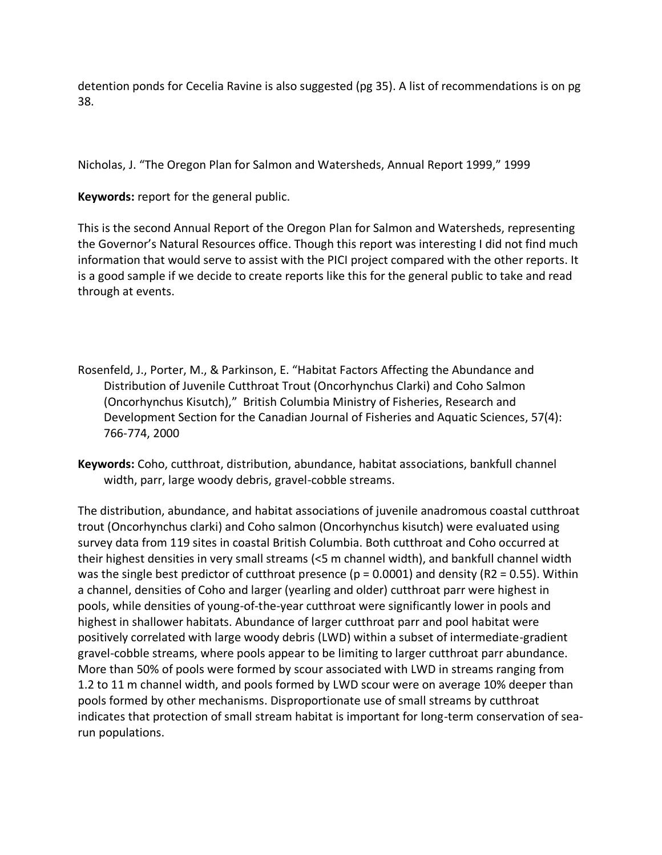detention ponds for Cecelia Ravine is also suggested (pg 35). A list of recommendations is on pg 38.

Nicholas, J. "The Oregon Plan for Salmon and Watersheds, Annual Report 1999," 1999

**Keywords:** report for the general public.

This is the second Annual Report of the Oregon Plan for Salmon and Watersheds, representing the Governor's Natural Resources office. Though this report was interesting I did not find much information that would serve to assist with the PICI project compared with the other reports. It is a good sample if we decide to create reports like this for the general public to take and read through at events.

- Rosenfeld, J., Porter, M., & Parkinson, E. "Habitat Factors Affecting the Abundance and Distribution of Juvenile Cutthroat Trout (Oncorhynchus Clarki) and Coho Salmon (Oncorhynchus Kisutch)," British Columbia Ministry of Fisheries, Research and Development Section for the Canadian Journal of Fisheries and Aquatic Sciences, 57(4): 766-774, 2000
- **Keywords:** Coho, cutthroat, distribution, abundance, habitat associations, bankfull channel width, parr, large woody debris, gravel-cobble streams.

The distribution, abundance, and habitat associations of juvenile anadromous coastal cutthroat trout (Oncorhynchus clarki) and Coho salmon (Oncorhynchus kisutch) were evaluated using survey data from 119 sites in coastal British Columbia. Both cutthroat and Coho occurred at their highest densities in very small streams (<5 m channel width), and bankfull channel width was the single best predictor of cutthroat presence ( $p = 0.0001$ ) and density (R2 = 0.55). Within a channel, densities of Coho and larger (yearling and older) cutthroat parr were highest in pools, while densities of young-of-the-year cutthroat were significantly lower in pools and highest in shallower habitats. Abundance of larger cutthroat parr and pool habitat were positively correlated with large woody debris (LWD) within a subset of intermediate-gradient gravel-cobble streams, where pools appear to be limiting to larger cutthroat parr abundance. More than 50% of pools were formed by scour associated with LWD in streams ranging from 1.2 to 11 m channel width, and pools formed by LWD scour were on average 10% deeper than pools formed by other mechanisms. Disproportionate use of small streams by cutthroat indicates that protection of small stream habitat is important for long-term conservation of searun populations.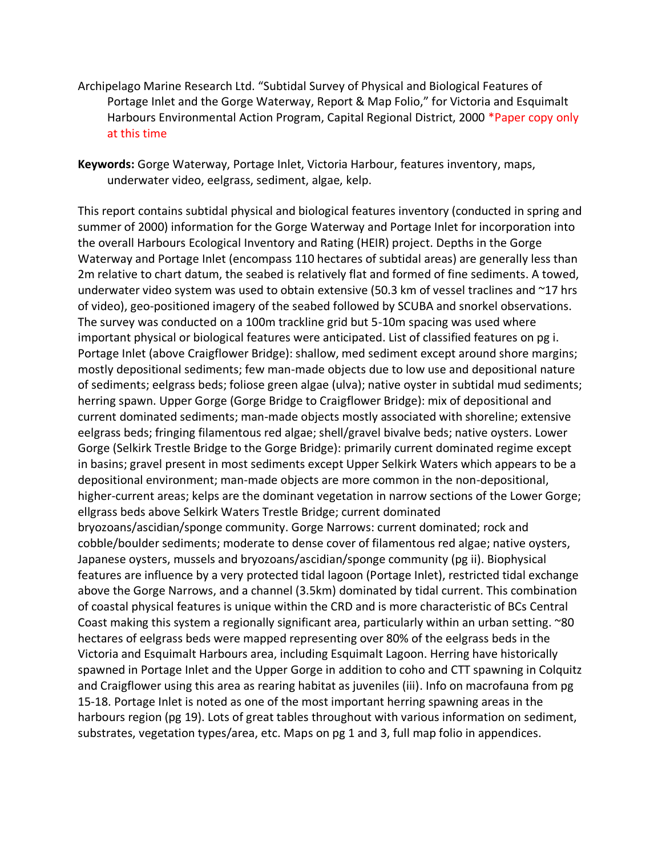Archipelago Marine Research Ltd. "Subtidal Survey of Physical and Biological Features of Portage Inlet and the Gorge Waterway, Report & Map Folio," for Victoria and Esquimalt Harbours Environmental Action Program, Capital Regional District, 2000 \*Paper copy only at this time

**Keywords:** Gorge Waterway, Portage Inlet, Victoria Harbour, features inventory, maps, underwater video, eelgrass, sediment, algae, kelp.

This report contains subtidal physical and biological features inventory (conducted in spring and summer of 2000) information for the Gorge Waterway and Portage Inlet for incorporation into the overall Harbours Ecological Inventory and Rating (HEIR) project. Depths in the Gorge Waterway and Portage Inlet (encompass 110 hectares of subtidal areas) are generally less than 2m relative to chart datum, the seabed is relatively flat and formed of fine sediments. A towed, underwater video system was used to obtain extensive (50.3 km of vessel traclines and ~17 hrs of video), geo-positioned imagery of the seabed followed by SCUBA and snorkel observations. The survey was conducted on a 100m trackline grid but 5-10m spacing was used where important physical or biological features were anticipated. List of classified features on pg i. Portage Inlet (above Craigflower Bridge): shallow, med sediment except around shore margins; mostly depositional sediments; few man-made objects due to low use and depositional nature of sediments; eelgrass beds; foliose green algae (ulva); native oyster in subtidal mud sediments; herring spawn. Upper Gorge (Gorge Bridge to Craigflower Bridge): mix of depositional and current dominated sediments; man-made objects mostly associated with shoreline; extensive eelgrass beds; fringing filamentous red algae; shell/gravel bivalve beds; native oysters. Lower Gorge (Selkirk Trestle Bridge to the Gorge Bridge): primarily current dominated regime except in basins; gravel present in most sediments except Upper Selkirk Waters which appears to be a depositional environment; man-made objects are more common in the non-depositional, higher-current areas; kelps are the dominant vegetation in narrow sections of the Lower Gorge; ellgrass beds above Selkirk Waters Trestle Bridge; current dominated bryozoans/ascidian/sponge community. Gorge Narrows: current dominated; rock and cobble/boulder sediments; moderate to dense cover of filamentous red algae; native oysters, Japanese oysters, mussels and bryozoans/ascidian/sponge community (pg ii). Biophysical features are influence by a very protected tidal lagoon (Portage Inlet), restricted tidal exchange above the Gorge Narrows, and a channel (3.5km) dominated by tidal current. This combination of coastal physical features is unique within the CRD and is more characteristic of BCs Central Coast making this system a regionally significant area, particularly within an urban setting. ~80 hectares of eelgrass beds were mapped representing over 80% of the eelgrass beds in the Victoria and Esquimalt Harbours area, including Esquimalt Lagoon. Herring have historically spawned in Portage Inlet and the Upper Gorge in addition to coho and CTT spawning in Colquitz and Craigflower using this area as rearing habitat as juveniles (iii). Info on macrofauna from pg 15-18. Portage Inlet is noted as one of the most important herring spawning areas in the harbours region (pg 19). Lots of great tables throughout with various information on sediment, substrates, vegetation types/area, etc. Maps on pg 1 and 3, full map folio in appendices.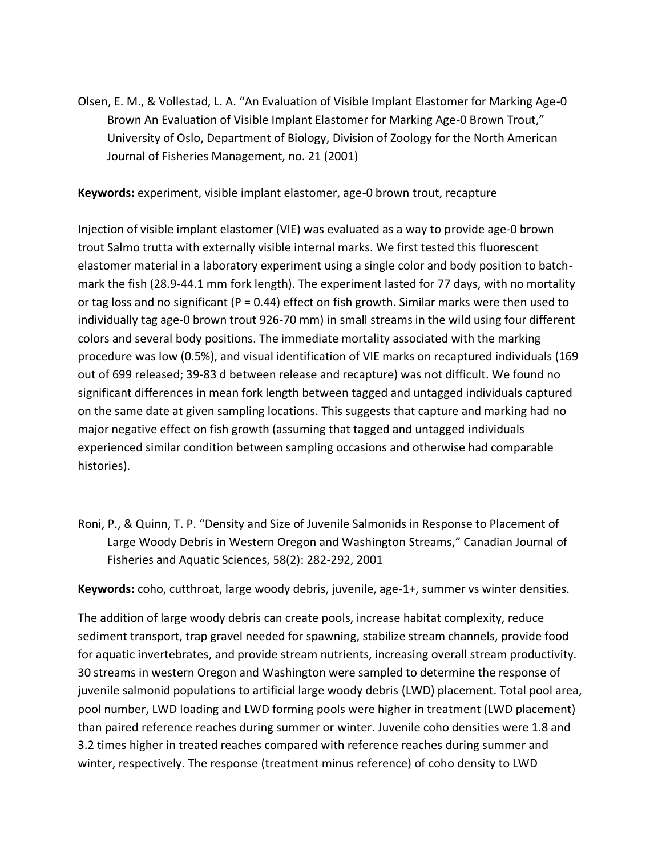Olsen, E. M., & Vollestad, L. A. "An Evaluation of Visible Implant Elastomer for Marking Age-0 Brown An Evaluation of Visible Implant Elastomer for Marking Age-0 Brown Trout," University of Oslo, Department of Biology, Division of Zoology for the North American Journal of Fisheries Management, no. 21 (2001)

**Keywords:** experiment, visible implant elastomer, age-0 brown trout, recapture

Injection of visible implant elastomer (VIE) was evaluated as a way to provide age-0 brown trout Salmo trutta with externally visible internal marks. We first tested this fluorescent elastomer material in a laboratory experiment using a single color and body position to batchmark the fish (28.9-44.1 mm fork length). The experiment lasted for 77 days, with no mortality or tag loss and no significant ( $P = 0.44$ ) effect on fish growth. Similar marks were then used to individually tag age-0 brown trout 926-70 mm) in small streams in the wild using four different colors and several body positions. The immediate mortality associated with the marking procedure was low (0.5%), and visual identification of VIE marks on recaptured individuals (169 out of 699 released; 39-83 d between release and recapture) was not difficult. We found no significant differences in mean fork length between tagged and untagged individuals captured on the same date at given sampling locations. This suggests that capture and marking had no major negative effect on fish growth (assuming that tagged and untagged individuals experienced similar condition between sampling occasions and otherwise had comparable histories).

Roni, P., & Quinn, T. P. "Density and Size of Juvenile Salmonids in Response to Placement of Large Woody Debris in Western Oregon and Washington Streams," Canadian Journal of Fisheries and Aquatic Sciences, 58(2): 282-292, 2001

**Keywords:** coho, cutthroat, large woody debris, juvenile, age-1+, summer vs winter densities.

The addition of large woody debris can create pools, increase habitat complexity, reduce sediment transport, trap gravel needed for spawning, stabilize stream channels, provide food for aquatic invertebrates, and provide stream nutrients, increasing overall stream productivity. 30 streams in western Oregon and Washington were sampled to determine the response of juvenile salmonid populations to artificial large woody debris (LWD) placement. Total pool area, pool number, LWD loading and LWD forming pools were higher in treatment (LWD placement) than paired reference reaches during summer or winter. Juvenile coho densities were 1.8 and 3.2 times higher in treated reaches compared with reference reaches during summer and winter, respectively. The response (treatment minus reference) of coho density to LWD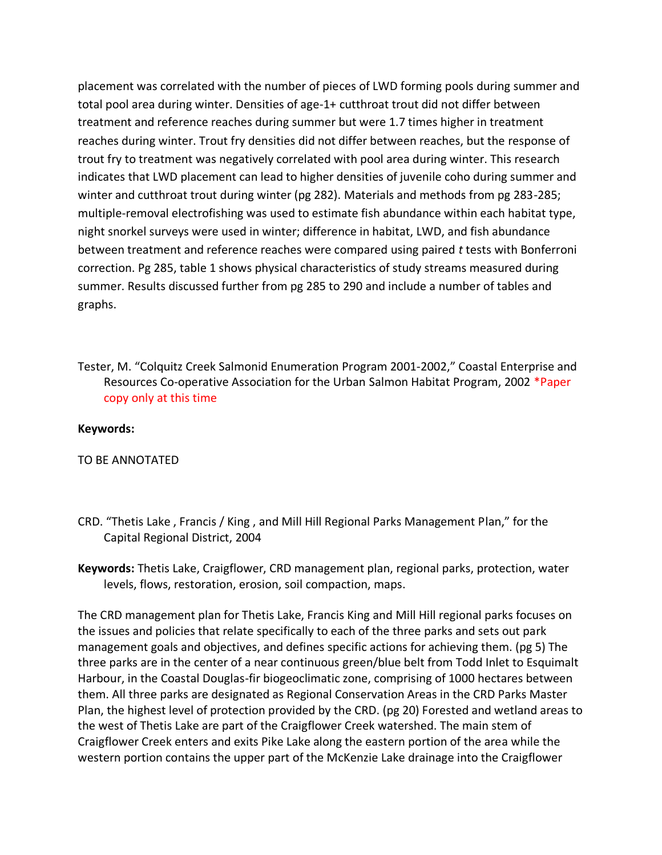placement was correlated with the number of pieces of LWD forming pools during summer and total pool area during winter. Densities of age-1+ cutthroat trout did not differ between treatment and reference reaches during summer but were 1.7 times higher in treatment reaches during winter. Trout fry densities did not differ between reaches, but the response of trout fry to treatment was negatively correlated with pool area during winter. This research indicates that LWD placement can lead to higher densities of juvenile coho during summer and winter and cutthroat trout during winter (pg 282). Materials and methods from pg 283-285; multiple-removal electrofishing was used to estimate fish abundance within each habitat type, night snorkel surveys were used in winter; difference in habitat, LWD, and fish abundance between treatment and reference reaches were compared using paired *t* tests with Bonferroni correction. Pg 285, table 1 shows physical characteristics of study streams measured during summer. Results discussed further from pg 285 to 290 and include a number of tables and graphs.

Tester, M. "Colquitz Creek Salmonid Enumeration Program 2001-2002," Coastal Enterprise and Resources Co-operative Association for the Urban Salmon Habitat Program, 2002 \*Paper copy only at this time

## **Keywords:**

TO BE ANNOTATED

- CRD. "Thetis Lake , Francis / King , and Mill Hill Regional Parks Management Plan," for the Capital Regional District, 2004
- **Keywords:** Thetis Lake, Craigflower, CRD management plan, regional parks, protection, water levels, flows, restoration, erosion, soil compaction, maps.

The CRD management plan for Thetis Lake, Francis King and Mill Hill regional parks focuses on the issues and policies that relate specifically to each of the three parks and sets out park management goals and objectives, and defines specific actions for achieving them. (pg 5) The three parks are in the center of a near continuous green/blue belt from Todd Inlet to Esquimalt Harbour, in the Coastal Douglas-fir biogeoclimatic zone, comprising of 1000 hectares between them. All three parks are designated as Regional Conservation Areas in the CRD Parks Master Plan, the highest level of protection provided by the CRD. (pg 20) Forested and wetland areas to the west of Thetis Lake are part of the Craigflower Creek watershed. The main stem of Craigflower Creek enters and exits Pike Lake along the eastern portion of the area while the western portion contains the upper part of the McKenzie Lake drainage into the Craigflower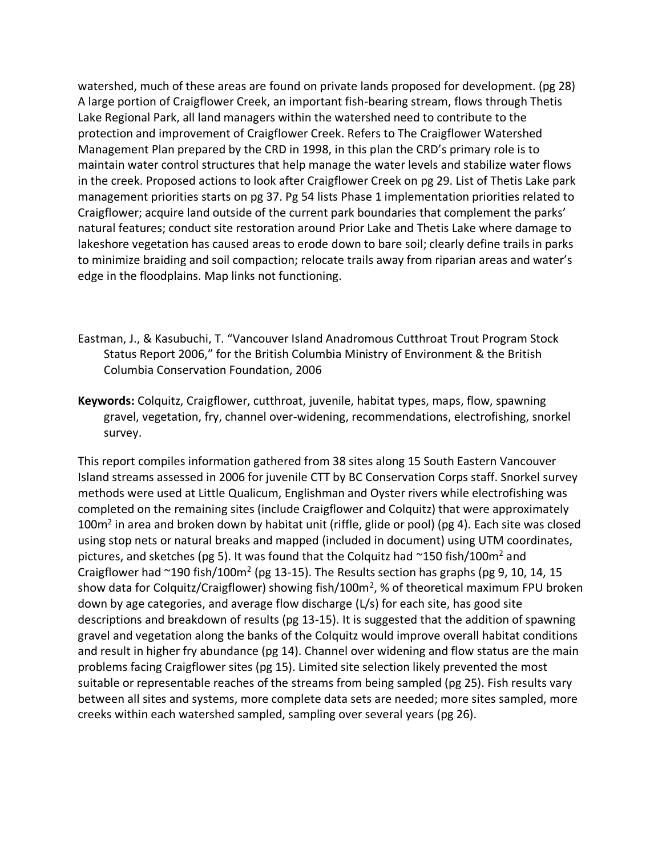watershed, much of these areas are found on private lands proposed for development. (pg 28) A large portion of Craigflower Creek, an important fish-bearing stream, flows through Thetis Lake Regional Park, all land managers within the watershed need to contribute to the protection and improvement of Craigflower Creek. Refers to The Craigflower Watershed Management Plan prepared by the CRD in 1998, in this plan the CRD's primary role is to maintain water control structures that help manage the water levels and stabilize water flows in the creek. Proposed actions to look after Craigflower Creek on pg 29. List of Thetis Lake park management priorities starts on pg 37. Pg 54 lists Phase 1 implementation priorities related to Craigflower; acquire land outside of the current park boundaries that complement the parks' natural features; conduct site restoration around Prior Lake and Thetis Lake where damage to lakeshore vegetation has caused areas to erode down to bare soil; clearly define trails in parks to minimize braiding and soil compaction; relocate trails away from riparian areas and water's edge in the floodplains. Map links not functioning.

- Eastman, J., & Kasubuchi, T. "Vancouver Island Anadromous Cutthroat Trout Program Stock Status Report 2006," for the British Columbia Ministry of Environment & the British Columbia Conservation Foundation, 2006
- **Keywords:** Colquitz, Craigflower, cutthroat, juvenile, habitat types, maps, flow, spawning gravel, vegetation, fry, channel over-widening, recommendations, electrofishing, snorkel survey.

This report compiles information gathered from 38 sites along 15 South Eastern Vancouver Island streams assessed in 2006 for juvenile CTT by BC Conservation Corps staff. Snorkel survey methods were used at Little Qualicum, Englishman and Oyster rivers while electrofishing was completed on the remaining sites (include Craigflower and Colquitz) that were approximately 100 $m^2$  in area and broken down by habitat unit (riffle, glide or pool) (pg 4). Each site was closed using stop nets or natural breaks and mapped (included in document) using UTM coordinates, pictures, and sketches (pg 5). It was found that the Colquitz had  $\sim$ 150 fish/100m<sup>2</sup> and Craigflower had  $\sim$ 190 fish/100m<sup>2</sup> (pg 13-15). The Results section has graphs (pg 9, 10, 14, 15 show data for Colquitz/Craigflower) showing fish/100m<sup>2</sup>, % of theoretical maximum FPU broken down by age categories, and average flow discharge (L/s) for each site, has good site descriptions and breakdown of results (pg 13-15). It is suggested that the addition of spawning gravel and vegetation along the banks of the Colquitz would improve overall habitat conditions and result in higher fry abundance (pg 14). Channel over widening and flow status are the main problems facing Craigflower sites (pg 15). Limited site selection likely prevented the most suitable or representable reaches of the streams from being sampled (pg 25). Fish results vary between all sites and systems, more complete data sets are needed; more sites sampled, more creeks within each watershed sampled, sampling over several years (pg 26).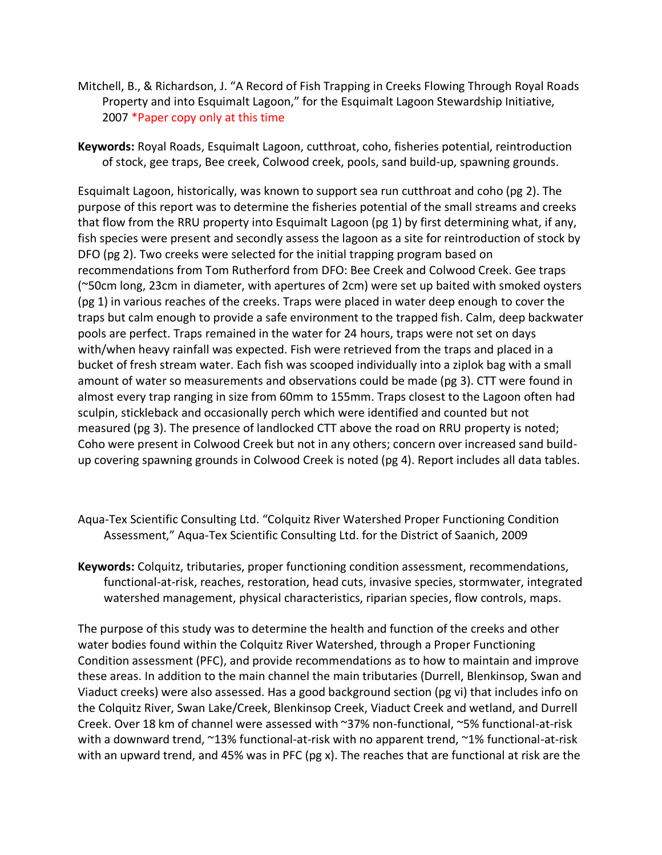- Mitchell, B., & Richardson, J. "A Record of Fish Trapping in Creeks Flowing Through Royal Roads Property and into Esquimalt Lagoon," for the Esquimalt Lagoon Stewardship Initiative, 2007 \*Paper copy only at this time
- **Keywords:** Royal Roads, Esquimalt Lagoon, cutthroat, coho, fisheries potential, reintroduction of stock, gee traps, Bee creek, Colwood creek, pools, sand build-up, spawning grounds.

Esquimalt Lagoon, historically, was known to support sea run cutthroat and coho (pg 2). The purpose of this report was to determine the fisheries potential of the small streams and creeks that flow from the RRU property into Esquimalt Lagoon (pg 1) by first determining what, if any, fish species were present and secondly assess the lagoon as a site for reintroduction of stock by DFO (pg 2). Two creeks were selected for the initial trapping program based on recommendations from Tom Rutherford from DFO: Bee Creek and Colwood Creek. Gee traps (~50cm long, 23cm in diameter, with apertures of 2cm) were set up baited with smoked oysters (pg 1) in various reaches of the creeks. Traps were placed in water deep enough to cover the traps but calm enough to provide a safe environment to the trapped fish. Calm, deep backwater pools are perfect. Traps remained in the water for 24 hours, traps were not set on days with/when heavy rainfall was expected. Fish were retrieved from the traps and placed in a bucket of fresh stream water. Each fish was scooped individually into a ziplok bag with a small amount of water so measurements and observations could be made (pg 3). CTT were found in almost every trap ranging in size from 60mm to 155mm. Traps closest to the Lagoon often had sculpin, stickleback and occasionally perch which were identified and counted but not measured (pg 3). The presence of landlocked CTT above the road on RRU property is noted; Coho were present in Colwood Creek but not in any others; concern over increased sand buildup covering spawning grounds in Colwood Creek is noted (pg 4). Report includes all data tables.

- Aqua-Tex Scientific Consulting Ltd. "Colquitz River Watershed Proper Functioning Condition Assessment," Aqua-Tex Scientific Consulting Ltd. for the District of Saanich, 2009
- **Keywords:** Colquitz, tributaries, proper functioning condition assessment, recommendations, functional-at-risk, reaches, restoration, head cuts, invasive species, stormwater, integrated watershed management, physical characteristics, riparian species, flow controls, maps.

The purpose of this study was to determine the health and function of the creeks and other water bodies found within the Colquitz River Watershed, through a Proper Functioning Condition assessment (PFC), and provide recommendations as to how to maintain and improve these areas. In addition to the main channel the main tributaries (Durrell, Blenkinsop, Swan and Viaduct creeks) were also assessed. Has a good background section (pg vi) that includes info on the Colquitz River, Swan Lake/Creek, Blenkinsop Creek, Viaduct Creek and wetland, and Durrell Creek. Over 18 km of channel were assessed with ~37% non-functional, ~5% functional-at-risk with a downward trend,  $\sim$ 13% functional-at-risk with no apparent trend,  $\sim$ 1% functional-at-risk with an upward trend, and 45% was in PFC (pg x). The reaches that are functional at risk are the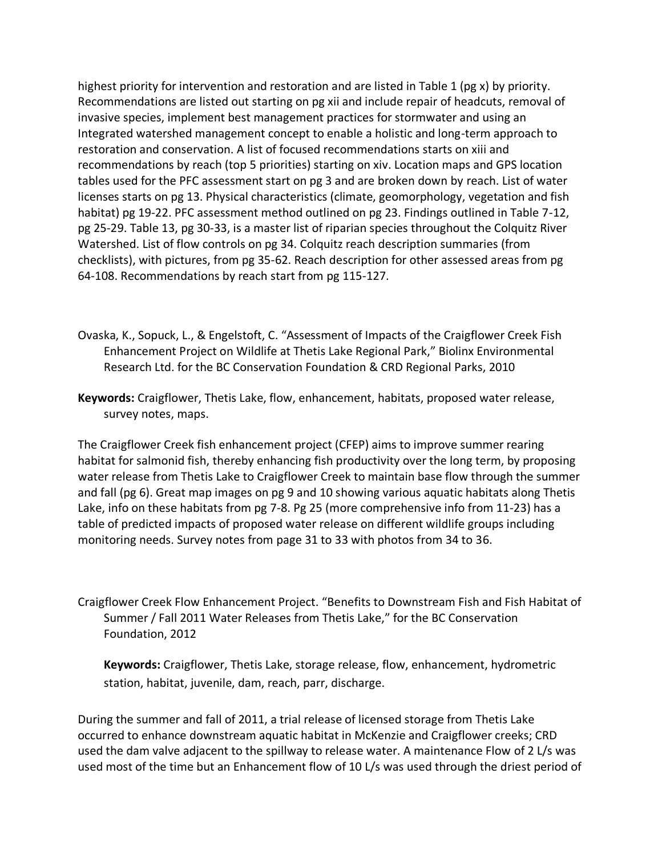highest priority for intervention and restoration and are listed in Table 1 (pg x) by priority. Recommendations are listed out starting on pg xii and include repair of headcuts, removal of invasive species, implement best management practices for stormwater and using an Integrated watershed management concept to enable a holistic and long-term approach to restoration and conservation. A list of focused recommendations starts on xiii and recommendations by reach (top 5 priorities) starting on xiv. Location maps and GPS location tables used for the PFC assessment start on pg 3 and are broken down by reach. List of water licenses starts on pg 13. Physical characteristics (climate, geomorphology, vegetation and fish habitat) pg 19-22. PFC assessment method outlined on pg 23. Findings outlined in Table 7-12, pg 25-29. Table 13, pg 30-33, is a master list of riparian species throughout the Colquitz River Watershed. List of flow controls on pg 34. Colquitz reach description summaries (from checklists), with pictures, from pg 35-62. Reach description for other assessed areas from pg 64-108. Recommendations by reach start from pg 115-127.

- Ovaska, K., Sopuck, L., & Engelstoft, C. "Assessment of Impacts of the Craigflower Creek Fish Enhancement Project on Wildlife at Thetis Lake Regional Park," Biolinx Environmental Research Ltd. for the BC Conservation Foundation & CRD Regional Parks, 2010
- **Keywords:** Craigflower, Thetis Lake, flow, enhancement, habitats, proposed water release, survey notes, maps.

The Craigflower Creek fish enhancement project (CFEP) aims to improve summer rearing habitat for salmonid fish, thereby enhancing fish productivity over the long term, by proposing water release from Thetis Lake to Craigflower Creek to maintain base flow through the summer and fall (pg 6). Great map images on pg 9 and 10 showing various aquatic habitats along Thetis Lake, info on these habitats from pg 7-8. Pg 25 (more comprehensive info from 11-23) has a table of predicted impacts of proposed water release on different wildlife groups including monitoring needs. Survey notes from page 31 to 33 with photos from 34 to 36.

Craigflower Creek Flow Enhancement Project. "Benefits to Downstream Fish and Fish Habitat of Summer / Fall 2011 Water Releases from Thetis Lake," for the BC Conservation Foundation, 2012

**Keywords:** Craigflower, Thetis Lake, storage release, flow, enhancement, hydrometric station, habitat, juvenile, dam, reach, parr, discharge.

During the summer and fall of 2011, a trial release of licensed storage from Thetis Lake occurred to enhance downstream aquatic habitat in McKenzie and Craigflower creeks; CRD used the dam valve adjacent to the spillway to release water. A maintenance Flow of 2 L/s was used most of the time but an Enhancement flow of 10 L/s was used through the driest period of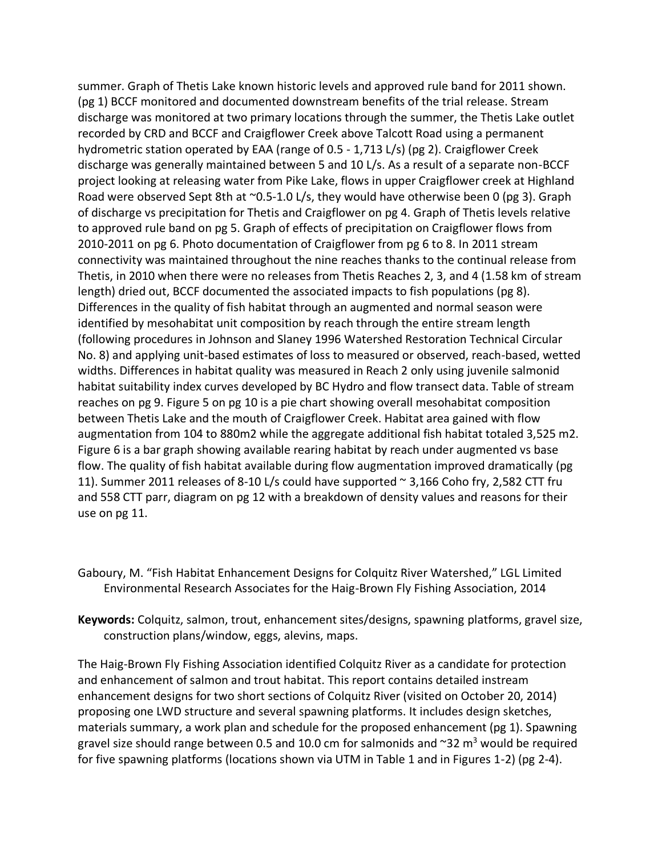summer. Graph of Thetis Lake known historic levels and approved rule band for 2011 shown. (pg 1) BCCF monitored and documented downstream benefits of the trial release. Stream discharge was monitored at two primary locations through the summer, the Thetis Lake outlet recorded by CRD and BCCF and Craigflower Creek above Talcott Road using a permanent hydrometric station operated by EAA (range of 0.5 - 1,713 L/s) (pg 2). Craigflower Creek discharge was generally maintained between 5 and 10 L/s. As a result of a separate non-BCCF project looking at releasing water from Pike Lake, flows in upper Craigflower creek at Highland Road were observed Sept 8th at ~0.5-1.0 L/s, they would have otherwise been 0 (pg 3). Graph of discharge vs precipitation for Thetis and Craigflower on pg 4. Graph of Thetis levels relative to approved rule band on pg 5. Graph of effects of precipitation on Craigflower flows from 2010-2011 on pg 6. Photo documentation of Craigflower from pg 6 to 8. In 2011 stream connectivity was maintained throughout the nine reaches thanks to the continual release from Thetis, in 2010 when there were no releases from Thetis Reaches 2, 3, and 4 (1.58 km of stream length) dried out, BCCF documented the associated impacts to fish populations (pg 8). Differences in the quality of fish habitat through an augmented and normal season were identified by mesohabitat unit composition by reach through the entire stream length (following procedures in Johnson and Slaney 1996 Watershed Restoration Technical Circular No. 8) and applying unit-based estimates of loss to measured or observed, reach-based, wetted widths. Differences in habitat quality was measured in Reach 2 only using juvenile salmonid habitat suitability index curves developed by BC Hydro and flow transect data. Table of stream reaches on pg 9. Figure 5 on pg 10 is a pie chart showing overall mesohabitat composition between Thetis Lake and the mouth of Craigflower Creek. Habitat area gained with flow augmentation from 104 to 880m2 while the aggregate additional fish habitat totaled 3,525 m2. Figure 6 is a bar graph showing available rearing habitat by reach under augmented vs base flow. The quality of fish habitat available during flow augmentation improved dramatically (pg 11). Summer 2011 releases of 8-10 L/s could have supported ~ 3,166 Coho fry, 2,582 CTT fru and 558 CTT parr, diagram on pg 12 with a breakdown of density values and reasons for their use on pg 11.

- Gaboury, M. "Fish Habitat Enhancement Designs for Colquitz River Watershed," LGL Limited Environmental Research Associates for the Haig-Brown Fly Fishing Association, 2014
- **Keywords:** Colquitz, salmon, trout, enhancement sites/designs, spawning platforms, gravel size, construction plans/window, eggs, alevins, maps.

The Haig-Brown Fly Fishing Association identified Colquitz River as a candidate for protection and enhancement of salmon and trout habitat. This report contains detailed instream enhancement designs for two short sections of Colquitz River (visited on October 20, 2014) proposing one LWD structure and several spawning platforms. It includes design sketches, materials summary, a work plan and schedule for the proposed enhancement (pg 1). Spawning gravel size should range between 0.5 and 10.0 cm for salmonids and  $\sim$ 32 m<sup>3</sup> would be required for five spawning platforms (locations shown via UTM in Table 1 and in Figures 1-2) (pg 2-4).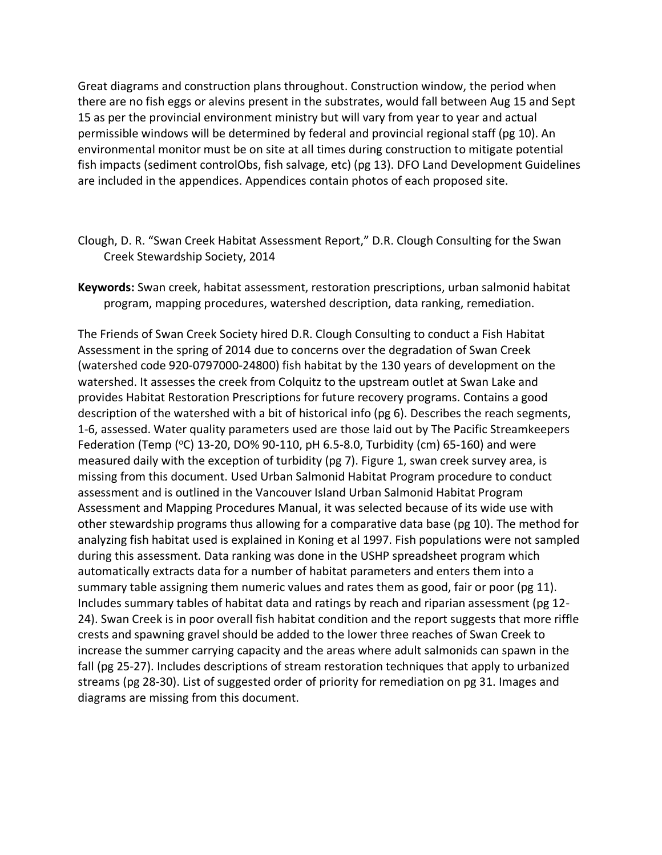Great diagrams and construction plans throughout. Construction window, the period when there are no fish eggs or alevins present in the substrates, would fall between Aug 15 and Sept 15 as per the provincial environment ministry but will vary from year to year and actual permissible windows will be determined by federal and provincial regional staff (pg 10). An environmental monitor must be on site at all times during construction to mitigate potential fish impacts (sediment controlObs, fish salvage, etc) (pg 13). DFO Land Development Guidelines are included in the appendices. Appendices contain photos of each proposed site.

- Clough, D. R. "Swan Creek Habitat Assessment Report," D.R. Clough Consulting for the Swan Creek Stewardship Society, 2014
- **Keywords:** Swan creek, habitat assessment, restoration prescriptions, urban salmonid habitat program, mapping procedures, watershed description, data ranking, remediation.

The Friends of Swan Creek Society hired D.R. Clough Consulting to conduct a Fish Habitat Assessment in the spring of 2014 due to concerns over the degradation of Swan Creek (watershed code 920-0797000-24800) fish habitat by the 130 years of development on the watershed. It assesses the creek from Colquitz to the upstream outlet at Swan Lake and provides Habitat Restoration Prescriptions for future recovery programs. Contains a good description of the watershed with a bit of historical info (pg 6). Describes the reach segments, 1-6, assessed. Water quality parameters used are those laid out by The Pacific Streamkeepers Federation (Temp (°C) 13-20, DO% 90-110, pH 6.5-8.0, Turbidity (cm) 65-160) and were measured daily with the exception of turbidity (pg 7). Figure 1, swan creek survey area, is missing from this document. Used Urban Salmonid Habitat Program procedure to conduct assessment and is outlined in the Vancouver Island Urban Salmonid Habitat Program Assessment and Mapping Procedures Manual, it was selected because of its wide use with other stewardship programs thus allowing for a comparative data base (pg 10). The method for analyzing fish habitat used is explained in Koning et al 1997. Fish populations were not sampled during this assessment. Data ranking was done in the USHP spreadsheet program which automatically extracts data for a number of habitat parameters and enters them into a summary table assigning them numeric values and rates them as good, fair or poor (pg 11). Includes summary tables of habitat data and ratings by reach and riparian assessment (pg 12- 24). Swan Creek is in poor overall fish habitat condition and the report suggests that more riffle crests and spawning gravel should be added to the lower three reaches of Swan Creek to increase the summer carrying capacity and the areas where adult salmonids can spawn in the fall (pg 25-27). Includes descriptions of stream restoration techniques that apply to urbanized streams (pg 28-30). List of suggested order of priority for remediation on pg 31. Images and diagrams are missing from this document.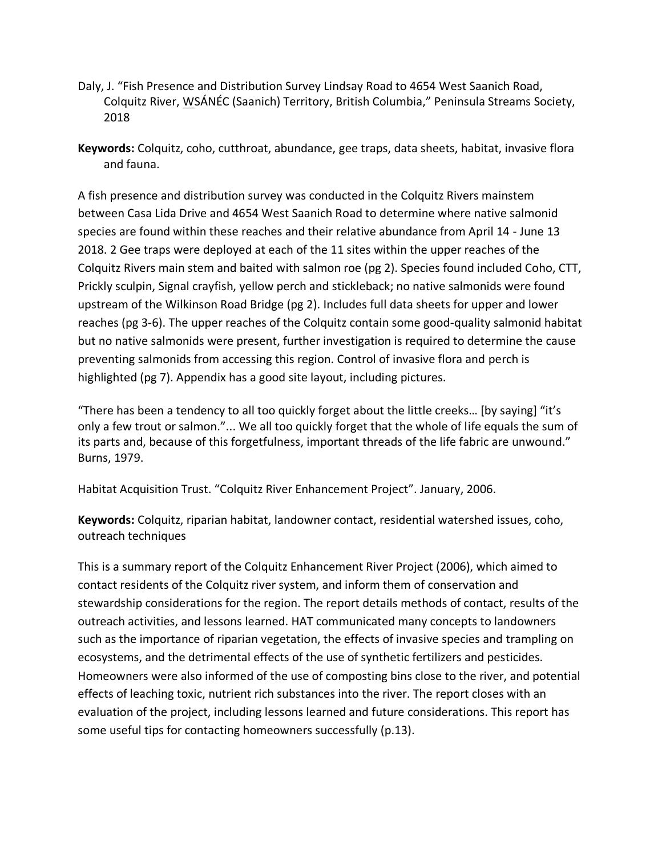- Daly, J. "Fish Presence and Distribution Survey Lindsay Road to 4654 West Saanich Road, Colquitz River, WSÁNÉC (Saanich) Territory, British Columbia," Peninsula Streams Society, 2018
- **Keywords:** Colquitz, coho, cutthroat, abundance, gee traps, data sheets, habitat, invasive flora and fauna.

A fish presence and distribution survey was conducted in the Colquitz Rivers mainstem between Casa Lida Drive and 4654 West Saanich Road to determine where native salmonid species are found within these reaches and their relative abundance from April 14 - June 13 2018. 2 Gee traps were deployed at each of the 11 sites within the upper reaches of the Colquitz Rivers main stem and baited with salmon roe (pg 2). Species found included Coho, CTT, Prickly sculpin, Signal crayfish, yellow perch and stickleback; no native salmonids were found upstream of the Wilkinson Road Bridge (pg 2). Includes full data sheets for upper and lower reaches (pg 3-6). The upper reaches of the Colquitz contain some good-quality salmonid habitat but no native salmonids were present, further investigation is required to determine the cause preventing salmonids from accessing this region. Control of invasive flora and perch is highlighted (pg 7). Appendix has a good site layout, including pictures.

"There has been a tendency to all too quickly forget about the little creeks… [by saying] "it's only a few trout or salmon."... We all too quickly forget that the whole of life equals the sum of its parts and, because of this forgetfulness, important threads of the life fabric are unwound." Burns, 1979.

Habitat Acquisition Trust. "Colquitz River Enhancement Project". January, 2006.

**Keywords:** Colquitz, riparian habitat, landowner contact, residential watershed issues, coho, outreach techniques

This is a summary report of the Colquitz Enhancement River Project (2006), which aimed to contact residents of the Colquitz river system, and inform them of conservation and stewardship considerations for the region. The report details methods of contact, results of the outreach activities, and lessons learned. HAT communicated many concepts to landowners such as the importance of riparian vegetation, the effects of invasive species and trampling on ecosystems, and the detrimental effects of the use of synthetic fertilizers and pesticides. Homeowners were also informed of the use of composting bins close to the river, and potential effects of leaching toxic, nutrient rich substances into the river. The report closes with an evaluation of the project, including lessons learned and future considerations. This report has some useful tips for contacting homeowners successfully (p.13).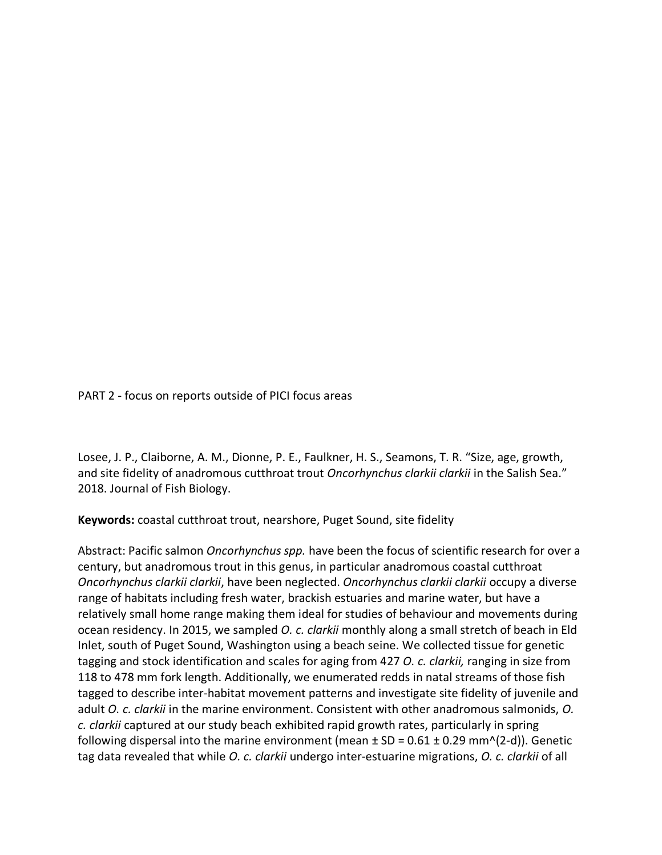PART 2 - focus on reports outside of PICI focus areas

Losee, J. P., Claiborne, A. M., Dionne, P. E., Faulkner, H. S., Seamons, T. R. "Size, age, growth, and site fidelity of anadromous cutthroat trout *Oncorhynchus clarkii clarkii* in the Salish Sea." 2018. Journal of Fish Biology.

**Keywords:** coastal cutthroat trout, nearshore, Puget Sound, site fidelity

Abstract: Pacific salmon *Oncorhynchus spp.* have been the focus of scientific research for over a century, but anadromous trout in this genus, in particular anadromous coastal cutthroat *Oncorhynchus clarkii clarkii*, have been neglected. *Oncorhynchus clarkii clarkii* occupy a diverse range of habitats including fresh water, brackish estuaries and marine water, but have a relatively small home range making them ideal for studies of behaviour and movements during ocean residency. In 2015, we sampled *O. c. clarkii* monthly along a small stretch of beach in Eld Inlet, south of Puget Sound, Washington using a beach seine. We collected tissue for genetic tagging and stock identification and scales for aging from 427 *O. c. clarkii,* ranging in size from 118 to 478 mm fork length. Additionally, we enumerated redds in natal streams of those fish tagged to describe inter-habitat movement patterns and investigate site fidelity of juvenile and adult *O. c. clarkii* in the marine environment. Consistent with other anadromous salmonids, *O. c. clarkii* captured at our study beach exhibited rapid growth rates, particularly in spring following dispersal into the marine environment (mean  $\pm$  SD = 0.61  $\pm$  0.29 mm^(2-d)). Genetic tag data revealed that while *O. c. clarkii* undergo inter-estuarine migrations, *O. c. clarkii* of all